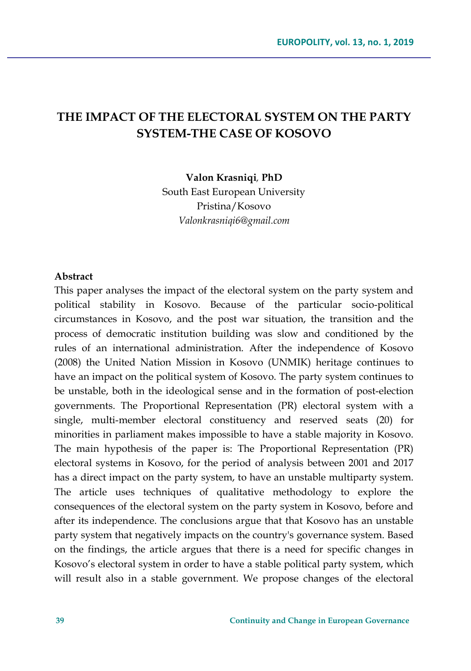# **THE IMPACT OF THE ELECTORAL SYSTEM ON THE PARTY SYSTEM-THE CASE OF KOSOVO**

**Valon Krasniqi***,* **PhD**

South East European University Pristina/Kosovo *Valonkrasniqi6@gmail.com*

#### **Abstract**

This paper analyses the impact of the electoral system on the party system and political stability in Kosovo. Because of the particular socio-political circumstances in Kosovo, and the post war situation, the transition and the process of democratic institution building was slow and conditioned by the rules of an international administration. After the independence of Kosovo (2008) the United Nation Mission in Kosovo (UNMIK) heritage continues to have an impact on the political system of Kosovo. The party system continues to be unstable, both in the ideological sense and in the formation of post-election governments. The Proportional Representation (PR) electoral system with a single, multi-member electoral constituency and reserved seats (20) for minorities in parliament makes impossible to have a stable majority in Kosovo. The main hypothesis of the paper is: The Proportional Representation (PR) electoral systems in Kosovo, for the period of analysis between 2001 and 2017 has a direct impact on the party system, to have an unstable multiparty system. The article uses techniques of qualitative methodology to explore the consequences of the electoral system on the party system in Kosovo, before and after its independence. The conclusions argue that that Kosovo has an unstable party system that negatively impacts on the country's governance system. Based on the findings, the article argues that there is a need for specific changes in Kosovo's electoral system in order to have a stable political party system, which will result also in a stable government. We propose changes of the electoral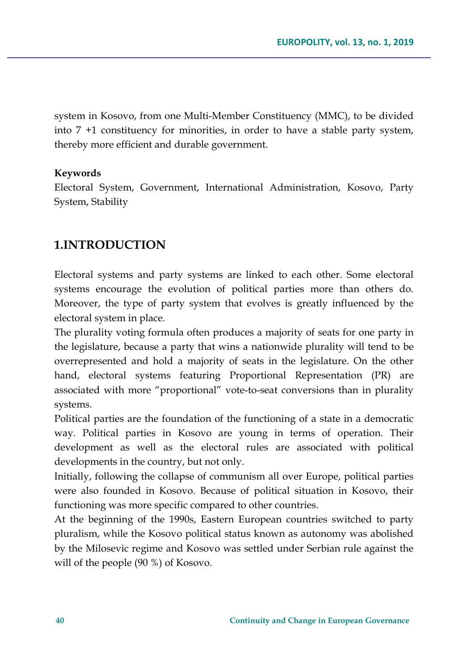system in Kosovo, from one Multi-Member Constituency (MMC), to be divided into 7 +1 constituency for minorities, in order to have a stable party system, thereby more efficient and durable government.

### **Keywords**

Electoral System, Government, International Administration, Kosovo, Party System, Stability

### **1.INTRODUCTION**

Electoral systems and party systems are linked to each other. Some electoral systems encourage the evolution of political parties more than others do. Moreover, the type of party system that evolves is greatly influenced by the electoral system in place.

The plurality voting formula often produces a majority of seats for one party in the legislature, because a party that wins a nationwide plurality will tend to be overrepresented and hold a majority of seats in the legislature. On the other hand, electoral systems featuring Proportional Representation (PR) are associated with more "proportional" vote-to-seat conversions than in plurality systems.

Political parties are the foundation of the functioning of a state in a democratic way. Political parties in Kosovo are young in terms of operation. Their development as well as the electoral rules are associated with political developments in the country, but not only.

Initially, following the collapse of communism all over Europe, political parties were also founded in Kosovo. Because of political situation in Kosovo, their functioning was more specific compared to other countries.

At the beginning of the 1990s, Eastern European countries switched to party pluralism, while the Kosovo political status known as autonomy was abolished by the Milosevic regime and Kosovo was settled under Serbian rule against the will of the people (90 %) of Kosovo.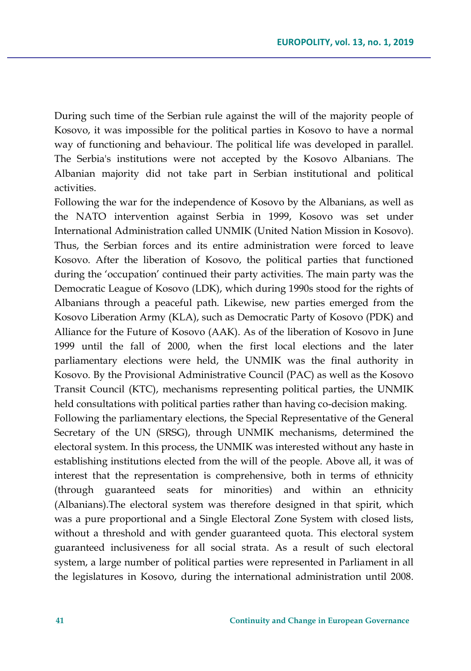During such time of the Serbian rule against the will of the majority people of Kosovo, it was impossible for the political parties in Kosovo to have a normal way of functioning and behaviour. The political life was developed in parallel. The Serbia's institutions were not accepted by the Kosovo Albanians. The Albanian majority did not take part in Serbian institutional and political activities.

Following the war for the independence of Kosovo by the Albanians, as well as the NATO intervention against Serbia in 1999, Kosovo was set under International Administration called UNMIK (United Nation Mission in Kosovo). Thus, the Serbian forces and its entire administration were forced to leave Kosovo. After the liberation of Kosovo, the political parties that functioned during the 'occupation' continued their party activities. The main party was the Democratic League of Kosovo (LDK), which during 1990s stood for the rights of Albanians through a peaceful path. Likewise, new parties emerged from the Kosovo Liberation Army (KLA), such as Democratic Party of Kosovo (PDK) and Alliance for the Future of Kosovo (AAK). As of the liberation of Kosovo in June 1999 until the fall of 2000, when the first local elections and the later parliamentary elections were held, the UNMIK was the final authority in Kosovo. By the Provisional Administrative Council (PAC) as well as the Kosovo Transit Council (KTC), mechanisms representing political parties, the UNMIK held consultations with political parties rather than having co-decision making.

Following the parliamentary elections, the Special Representative of the General Secretary of the UN (SRSG), through UNMIK mechanisms, determined the electoral system. In this process, the UNMIK was interested without any haste in establishing institutions elected from the will of the people. Above all, it was of interest that the representation is comprehensive, both in terms of ethnicity (through guaranteed seats for minorities) and within an ethnicity (Albanians).The electoral system was therefore designed in that spirit, which was a pure proportional and a Single Electoral Zone System with closed lists, without a threshold and with gender guaranteed quota. This electoral system guaranteed inclusiveness for all social strata. As a result of such electoral system, a large number of political parties were represented in Parliament in all the legislatures in Kosovo, during the international administration until 2008.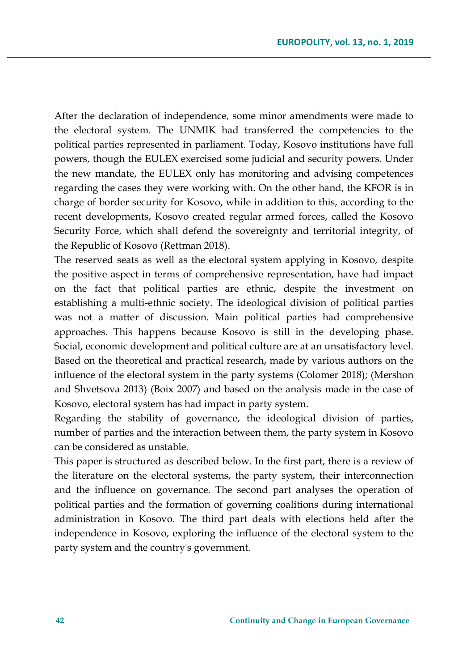After the declaration of independence, some minor amendments were made to the electoral system. The UNMIK had transferred the competencies to the political parties represented in parliament. Today, Kosovo institutions have full powers, though the EULEX exercised some judicial and security powers. Under the new mandate, the EULEX only has monitoring and advising competences regarding the cases they were working with. On the other hand, the KFOR is in charge of border security for Kosovo, while in addition to this, according to the recent developments, Kosovo created regular armed forces, called the Kosovo Security Force, which shall defend the sovereignty and territorial integrity, of the Republic of Kosovo (Rettman 2018).

The reserved seats as well as the electoral system applying in Kosovo, despite the positive aspect in terms of comprehensive representation, have had impact on the fact that political parties are ethnic, despite the investment on establishing a multi-ethnic society. The ideological division of political parties was not a matter of discussion. Main political parties had comprehensive approaches. This happens because Kosovo is still in the developing phase. Social, economic development and political culture are at an unsatisfactory level. Based on the theoretical and practical research, made by various authors on the influence of the electoral system in the party systems (Colomer 2018); (Mershon and Shvetsova 2013) (Boix 2007) and based on the analysis made in the case of Kosovo, electoral system has had impact in party system.

Regarding the stability of governance, the ideological division of parties, number of parties and the interaction between them, the party system in Kosovo can be considered as unstable.

This paper is structured as described below. In the first part, there is a review of the literature on the electoral systems, the party system, their interconnection and the influence on governance. The second part analyses the operation of political parties and the formation of governing coalitions during international administration in Kosovo. The third part deals with elections held after the independence in Kosovo, exploring the influence of the electoral system to the party system and the country's government.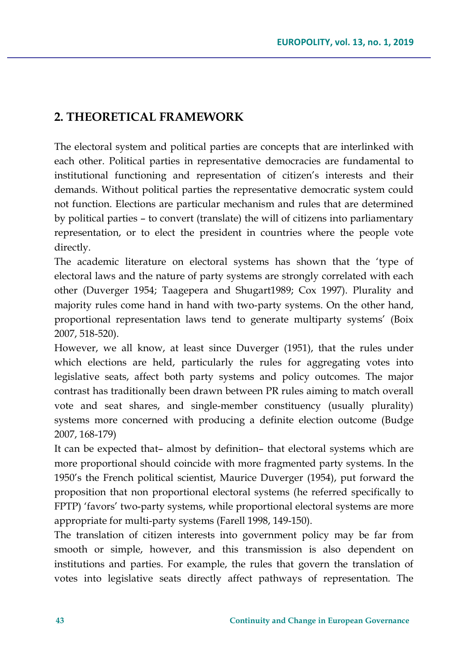## **2. THEORETICAL FRAMEWORK**

The electoral system and political parties are concepts that are interlinked with each other. Political parties in representative democracies are fundamental to institutional functioning and representation of citizen's interests and their demands. Without political parties the representative democratic system could not function. Elections are particular mechanism and rules that are determined by political parties – to convert (translate) the will of citizens into parliamentary representation, or to elect the president in countries where the people vote directly.

The academic literature on electoral systems has shown that the 'type of electoral laws and the nature of party systems are strongly correlated with each other (Duverger 1954; Taagepera and Shugart1989; Cox 1997). Plurality and majority rules come hand in hand with two-party systems. On the other hand, proportional representation laws tend to generate multiparty systems' (Boix 2007, 518-520).

However, we all know, at least since Duverger (1951), that the rules under which elections are held, particularly the rules for aggregating votes into legislative seats, affect both party systems and policy outcomes. The major contrast has traditionally been drawn between PR rules aiming to match overall vote and seat shares, and single-member constituency (usually plurality) systems more concerned with producing a definite election outcome (Budge 2007, 168-179)

It can be expected that– almost by definition– that electoral systems which are more proportional should coincide with more fragmented party systems. In the 1950's the French political scientist, Maurice Duverger (1954), put forward the proposition that non proportional electoral systems (he referred specifically to FPTP) 'favors' two-party systems, while proportional electoral systems are more appropriate for multi-party systems (Farell 1998, 149-150).

The translation of citizen interests into government policy may be far from smooth or simple, however, and this transmission is also dependent on institutions and parties. For example, the rules that govern the translation of votes into legislative seats directly affect pathways of representation. The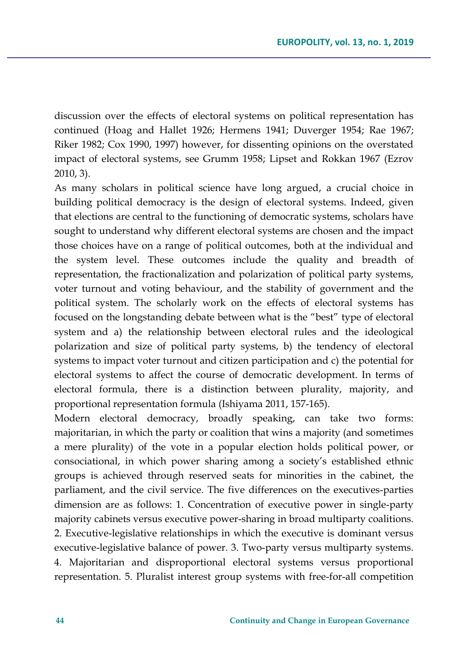discussion over the effects of electoral systems on political representation has continued (Hoag and Hallet 1926; Hermens 1941; Duverger 1954; Rae 1967; Riker 1982; Cox 1990, 1997) however, for dissenting opinions on the overstated impact of electoral systems, see Grumm 1958; Lipset and Rokkan 1967 (Ezrov 2010, 3).

As many scholars in political science have long argued, a crucial choice in building political democracy is the design of electoral systems. Indeed, given that elections are central to the functioning of democratic systems, scholars have sought to understand why different electoral systems are chosen and the impact those choices have on a range of political outcomes, both at the individual and the system level. These outcomes include the quality and breadth of representation, the fractionalization and polarization of political party systems, voter turnout and voting behaviour, and the stability of government and the political system. The scholarly work on the effects of electoral systems has focused on the longstanding debate between what is the "best" type of electoral system and a) the relationship between electoral rules and the ideological polarization and size of political party systems, b) the tendency of electoral systems to impact voter turnout and citizen participation and c) the potential for electoral systems to affect the course of democratic development. In terms of electoral formula, there is a distinction between plurality, majority, and proportional representation formula (Ishiyama 2011, 157-165).

Modern electoral democracy, broadly speaking, can take two forms: majoritarian, in which the party or coalition that wins a majority (and sometimes a mere plurality) of the vote in a popular election holds political power, or consociational, in which power sharing among a society's established ethnic groups is achieved through reserved seats for minorities in the cabinet, the parliament, and the civil service. The five differences on the executives-parties dimension are as follows: 1. Concentration of executive power in single-party majority cabinets versus executive power-sharing in broad multiparty coalitions. 2. Executive-legislative relationships in which the executive is dominant versus executive-legislative balance of power. 3. Two-party versus multiparty systems. 4. Majoritarian and disproportional electoral systems versus proportional representation. 5. Pluralist interest group systems with free-for-all competition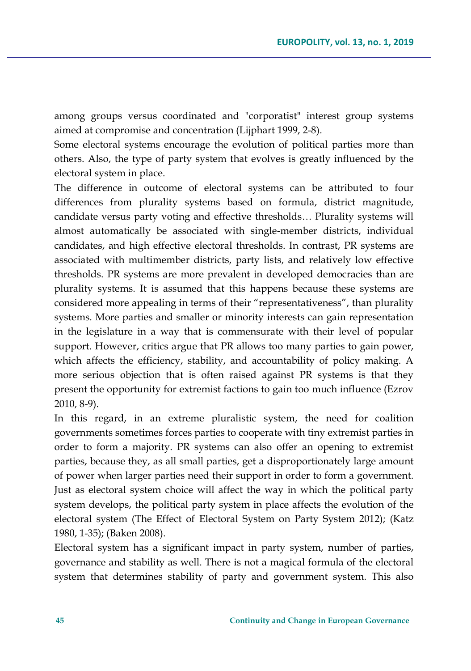among groups versus coordinated and "corporatist" interest group systems aimed at compromise and concentration (Lijphart 1999, 2-8).

Some electoral systems encourage the evolution of political parties more than others. Also, the type of party system that evolves is greatly influenced by the electoral system in place.

The difference in outcome of electoral systems can be attributed to four differences from plurality systems based on formula, district magnitude, candidate versus party voting and effective thresholds… Plurality systems will almost automatically be associated with single-member districts, individual candidates, and high effective electoral thresholds. In contrast, PR systems are associated with multimember districts, party lists, and relatively low effective thresholds. PR systems are more prevalent in developed democracies than are plurality systems. It is assumed that this happens because these systems are considered more appealing in terms of their "representativeness", than plurality systems. More parties and smaller or minority interests can gain representation in the legislature in a way that is commensurate with their level of popular support. However, critics argue that PR allows too many parties to gain power, which affects the efficiency, stability, and accountability of policy making. A more serious objection that is often raised against PR systems is that they present the opportunity for extremist factions to gain too much influence (Ezrov 2010, 8-9).

In this regard, in an extreme pluralistic system, the need for coalition governments sometimes forces parties to cooperate with tiny extremist parties in order to form a majority. PR systems can also offer an opening to extremist parties, because they, as all small parties, get a disproportionately large amount of power when larger parties need their support in order to form a government. Just as electoral system choice will affect the way in which the political party system develops, the political party system in place affects the evolution of the electoral system (The Effect of Electoral System on Party System 2012); (Katz 1980, 1-35); (Baken 2008).

Electoral system has a significant impact in party system, number of parties, governance and stability as well. There is not a magical formula of the electoral system that determines stability of party and government system. This also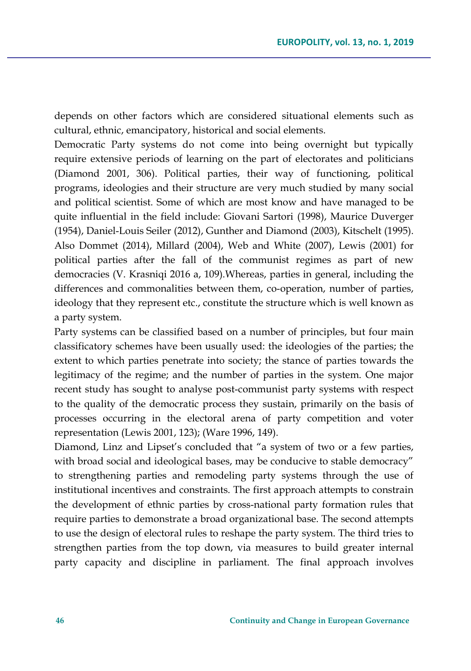depends on other factors which are considered situational elements such as cultural, ethnic, emancipatory, historical and social elements.

Democratic Party systems do not come into being overnight but typically require extensive periods of learning on the part of electorates and politicians (Diamond 2001, 306). Political parties, their way of functioning, political programs, ideologies and their structure are very much studied by many social and political scientist. Some of which are most know and have managed to be quite influential in the field include: Giovani Sartori (1998), Maurice Duverger (1954), Daniel-Louis Seiler (2012), Gunther and Diamond (2003), Kitschelt (1995). Also Dommet (2014), Millard (2004), Web and White (2007), Lewis (2001) for political parties after the fall of the communist regimes as part of new democracies (V. Krasniqi 2016 a, 109).Whereas, parties in general, including the differences and commonalities between them, co-operation, number of parties, ideology that they represent etc., constitute the structure which is well known as a party system.

Party systems can be classified based on a number of principles, but four main classificatory schemes have been usually used: the ideologies of the parties; the extent to which parties penetrate into society; the stance of parties towards the legitimacy of the regime; and the number of parties in the system. One major recent study has sought to analyse post-communist party systems with respect to the quality of the democratic process they sustain, primarily on the basis of processes occurring in the electoral arena of party competition and voter representation (Lewis 2001, 123); (Ware 1996, 149).

Diamond, Linz and Lipset's concluded that "a system of two or a few parties, with broad social and ideological bases, may be conducive to stable democracy" to strengthening parties and remodeling party systems through the use of institutional incentives and constraints. The first approach attempts to constrain the development of ethnic parties by cross-national party formation rules that require parties to demonstrate a broad organizational base. The second attempts to use the design of electoral rules to reshape the party system. The third tries to strengthen parties from the top down, via measures to build greater internal party capacity and discipline in parliament. The final approach involves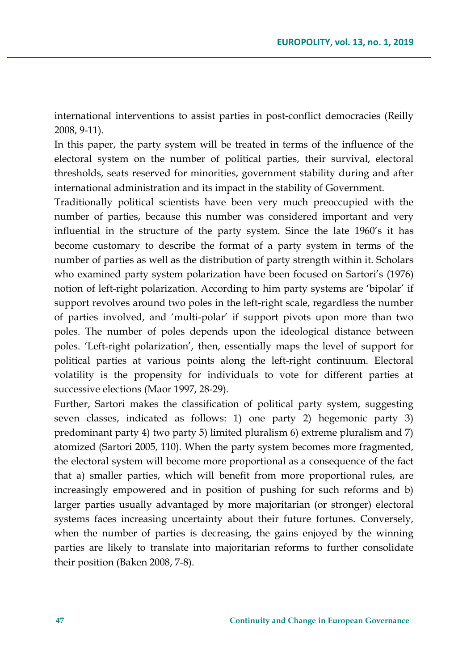international interventions to assist parties in post-conflict democracies (Reilly 2008, 9-11).

In this paper, the party system will be treated in terms of the influence of the electoral system on the number of political parties, their survival, electoral thresholds, seats reserved for minorities, government stability during and after international administration and its impact in the stability of Government.

Traditionally political scientists have been very much preoccupied with the number of parties, because this number was considered important and very influential in the structure of the party system. Since the late 1960's it has become customary to describe the format of a party system in terms of the number of parties as well as the distribution of party strength within it. Scholars who examined party system polarization have been focused on Sartori's (1976) notion of left-right polarization. According to him party systems are 'bipolar' if support revolves around two poles in the left-right scale, regardless the number of parties involved, and 'multi-polar' if support pivots upon more than two poles. The number of poles depends upon the ideological distance between poles. 'Left-right polarization', then, essentially maps the level of support for political parties at various points along the left-right continuum. Electoral volatility is the propensity for individuals to vote for different parties at successive elections (Maor 1997, 28-29).

Further, Sartori makes the classification of political party system, suggesting seven classes, indicated as follows: 1) one party 2) hegemonic party 3) predominant party 4) two party 5) limited pluralism 6) extreme pluralism and 7) atomized (Sartori 2005, 110). When the party system becomes more fragmented, the electoral system will become more proportional as a consequence of the fact that a) smaller parties, which will benefit from more proportional rules, are increasingly empowered and in position of pushing for such reforms and b) larger parties usually advantaged by more majoritarian (or stronger) electoral systems faces increasing uncertainty about their future fortunes. Conversely, when the number of parties is decreasing, the gains enjoyed by the winning parties are likely to translate into majoritarian reforms to further consolidate their position (Baken 2008, 7-8).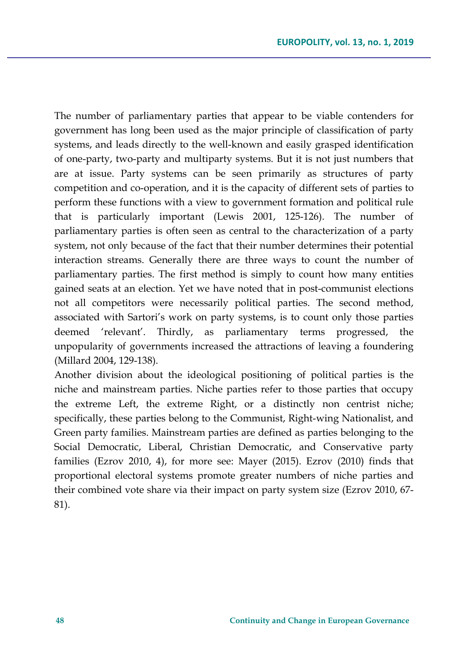The number of parliamentary parties that appear to be viable contenders for government has long been used as the major principle of classification of party systems, and leads directly to the well-known and easily grasped identification of one-party, two-party and multiparty systems. But it is not just numbers that are at issue. Party systems can be seen primarily as structures of party competition and co-operation, and it is the capacity of different sets of parties to perform these functions with a view to government formation and political rule that is particularly important (Lewis 2001, 125-126). The number of parliamentary parties is often seen as central to the characterization of a party system, not only because of the fact that their number determines their potential interaction streams. Generally there are three ways to count the number of parliamentary parties. The first method is simply to count how many entities gained seats at an election. Yet we have noted that in post-communist elections not all competitors were necessarily political parties. The second method, associated with Sartori's work on party systems, is to count only those parties deemed 'relevant'. Thirdly, as parliamentary terms progressed, the unpopularity of governments increased the attractions of leaving a foundering (Millard 2004, 129-138).

Another division about the ideological positioning of political parties is the niche and mainstream parties. Niche parties refer to those parties that occupy the extreme Left, the extreme Right, or a distinctly non centrist niche; specifically, these parties belong to the Communist, Right-wing Nationalist, and Green party families. Mainstream parties are defined as parties belonging to the Social Democratic, Liberal, Christian Democratic, and Conservative party families (Ezrov 2010, 4), for more see: Mayer (2015). Ezrov (2010) finds that proportional electoral systems promote greater numbers of niche parties and their combined vote share via their impact on party system size (Ezrov 2010, 67- 81).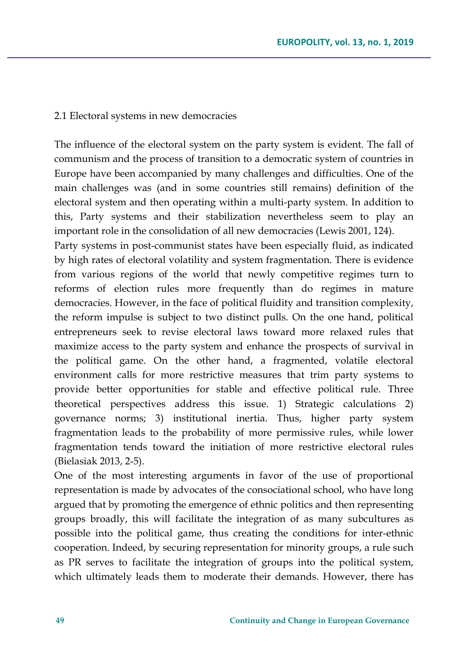#### 2.1 Electoral systems in new democracies

The influence of the electoral system on the party system is evident. The fall of communism and the process of transition to a democratic system of countries in Europe have been accompanied by many challenges and difficulties. One of the main challenges was (and in some countries still remains) definition of the electoral system and then operating within a multi-party system. In addition to this, Party systems and their stabilization nevertheless seem to play an important role in the consolidation of all new democracies (Lewis 2001, 124).

Party systems in post-communist states have been especially fluid, as indicated by high rates of electoral volatility and system fragmentation. There is evidence from various regions of the world that newly competitive regimes turn to reforms of election rules more frequently than do regimes in mature democracies. However, in the face of political fluidity and transition complexity, the reform impulse is subject to two distinct pulls. On the one hand, political entrepreneurs seek to revise electoral laws toward more relaxed rules that maximize access to the party system and enhance the prospects of survival in the political game. On the other hand, a fragmented, volatile electoral environment calls for more restrictive measures that trim party systems to provide better opportunities for stable and effective political rule. Three theoretical perspectives address this issue. 1) Strategic calculations 2) governance norms; 3) institutional inertia. Thus, higher party system fragmentation leads to the probability of more permissive rules, while lower fragmentation tends toward the initiation of more restrictive electoral rules (Bielasiak 2013, 2-5).

One of the most interesting arguments in favor of the use of proportional representation is made by advocates of the consociational school, who have long argued that by promoting the emergence of ethnic politics and then representing groups broadly, this will facilitate the integration of as many subcultures as possible into the political game, thus creating the conditions for inter-ethnic cooperation. Indeed, by securing representation for minority groups, a rule such as PR serves to facilitate the integration of groups into the political system, which ultimately leads them to moderate their demands. However, there has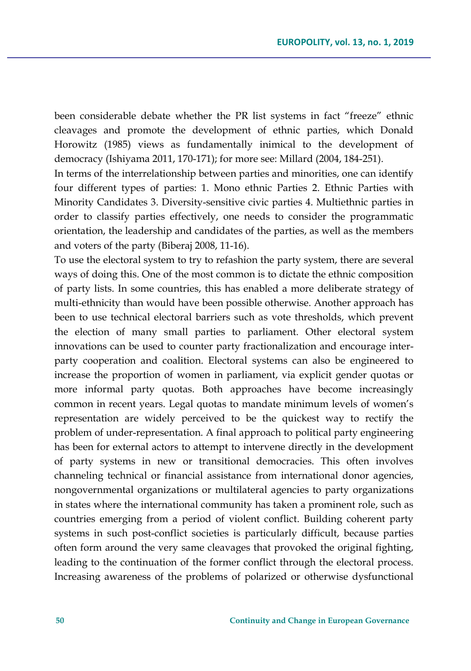been considerable debate whether the PR list systems in fact "freeze" ethnic cleavages and promote the development of ethnic parties, which Donald Horowitz (1985) views as fundamentally inimical to the development of democracy (Ishiyama 2011, 170-171); for more see: Millard (2004, 184-251).

In terms of the interrelationship between parties and minorities, one can identify four different types of parties: 1. Mono ethnic Parties 2. Ethnic Parties with Minority Candidates 3. Diversity-sensitive civic parties 4. Multiethnic parties in order to classify parties effectively, one needs to consider the programmatic orientation, the leadership and candidates of the parties, as well as the members and voters of the party (Biberaj 2008, 11-16).

To use the electoral system to try to refashion the party system, there are several ways of doing this. One of the most common is to dictate the ethnic composition of party lists. In some countries, this has enabled a more deliberate strategy of multi-ethnicity than would have been possible otherwise. Another approach has been to use technical electoral barriers such as vote thresholds, which prevent the election of many small parties to parliament. Other electoral system innovations can be used to counter party fractionalization and encourage interparty cooperation and coalition. Electoral systems can also be engineered to increase the proportion of women in parliament, via explicit gender quotas or more informal party quotas. Both approaches have become increasingly common in recent years. Legal quotas to mandate minimum levels of women's representation are widely perceived to be the quickest way to rectify the problem of under-representation. A final approach to political party engineering has been for external actors to attempt to intervene directly in the development of party systems in new or transitional democracies. This often involves channeling technical or financial assistance from international donor agencies, nongovernmental organizations or multilateral agencies to party organizations in states where the international community has taken a prominent role, such as countries emerging from a period of violent conflict. Building coherent party systems in such post-conflict societies is particularly difficult, because parties often form around the very same cleavages that provoked the original fighting, leading to the continuation of the former conflict through the electoral process. Increasing awareness of the problems of polarized or otherwise dysfunctional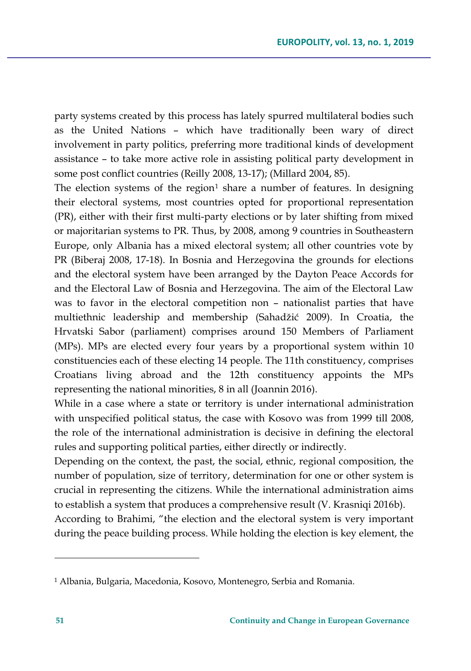party systems created by this process has lately spurred multilateral bodies such as the United Nations – which have traditionally been wary of direct involvement in party politics, preferring more traditional kinds of development assistance – to take more active role in assisting political party development in some post conflict countries (Reilly 2008, 13-17); (Millard 2004, 85).

The election systems of the region<sup>[1](#page-12-0)</sup> share a number of features. In designing their electoral systems, most countries opted for proportional representation (PR), either with their first multi-party elections or by later shifting from mixed or majoritarian systems to PR. Thus, by 2008, among 9 countries in Southeastern Europe, only Albania has a mixed electoral system; all other countries vote by PR (Biberaj 2008, 17-18). In Bosnia and Herzegovina the grounds for elections and the electoral system have been arranged by the Dayton Peace Accords for and the Electoral Law of Bosnia and Herzegovina. The aim of the Electoral Law was to favor in the electoral competition non – nationalist parties that have multiethnic leadership and membership (Sahadžić 2009). In Croatia, the Hrvatski Sabor (parliament) comprises around 150 Members of Parliament (MPs). MPs are elected every four years by a proportional system within 10 constituencies each of these electing 14 people. The 11th constituency, comprises Croatians living abroad and the 12th constituency appoints the MPs representing the national minorities, 8 in all (Joannin 2016).

While in a case where a state or territory is under international administration with unspecified political status, the case with Kosovo was from 1999 till 2008, the role of the international administration is decisive in defining the electoral rules and supporting political parties, either directly or indirectly.

Depending on the context, the past, the social, ethnic, regional composition, the number of population, size of territory, determination for one or other system is crucial in representing the citizens. While the international administration aims to establish a system that produces a comprehensive result (V. Krasniqi 2016b).

According to Brahimi, "the election and the electoral system is very important during the peace building process. While holding the election is key element, the

l

<span id="page-12-0"></span><sup>1</sup> Albania, Bulgaria, Macedonia, Kosovo, Montenegro, Serbia and Romania.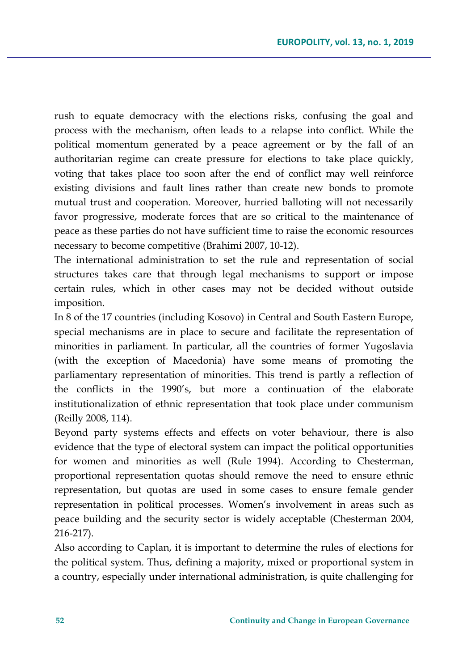rush to equate democracy with the elections risks, confusing the goal and process with the mechanism, often leads to a relapse into conflict. While the political momentum generated by a peace agreement or by the fall of an authoritarian regime can create pressure for elections to take place quickly, voting that takes place too soon after the end of conflict may well reinforce existing divisions and fault lines rather than create new bonds to promote mutual trust and cooperation. Moreover, hurried balloting will not necessarily favor progressive, moderate forces that are so critical to the maintenance of peace as these parties do not have sufficient time to raise the economic resources necessary to become competitive (Brahimi 2007, 10-12).

The international administration to set the rule and representation of social structures takes care that through legal mechanisms to support or impose certain rules, which in other cases may not be decided without outside imposition.

In 8 of the 17 countries (including Kosovo) in Central and South Eastern Europe, special mechanisms are in place to secure and facilitate the representation of minorities in parliament. In particular, all the countries of former Yugoslavia (with the exception of Macedonia) have some means of promoting the parliamentary representation of minorities. This trend is partly a reflection of the conflicts in the 1990's, but more a continuation of the elaborate institutionalization of ethnic representation that took place under communism (Reilly 2008, 114).

Beyond party systems effects and effects on voter behaviour, there is also evidence that the type of electoral system can impact the political opportunities for women and minorities as well (Rule 1994). According to Chesterman, proportional representation quotas should remove the need to ensure ethnic representation, but quotas are used in some cases to ensure female gender representation in political processes. Women's involvement in areas such as peace building and the security sector is widely acceptable (Chesterman 2004, 216-217).

Also according to Caplan, it is important to determine the rules of elections for the political system. Thus, defining a majority, mixed or proportional system in a country, especially under international administration, is quite challenging for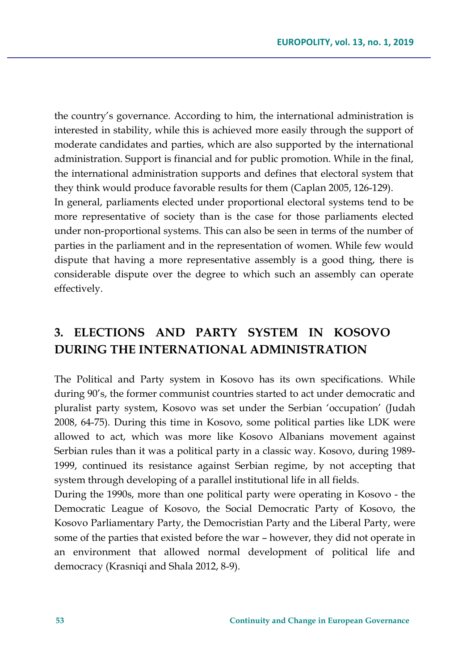the country's governance. According to him, the international administration is interested in stability, while this is achieved more easily through the support of moderate candidates and parties, which are also supported by the international administration. Support is financial and for public promotion. While in the final, the international administration supports and defines that electoral system that they think would produce favorable results for them (Caplan 2005, 126-129). In general, parliaments elected under proportional electoral systems tend to be more representative of society than is the case for those parliaments elected

under non-proportional systems. This can also be seen in terms of the number of parties in the parliament and in the representation of women. While few would dispute that having a more representative assembly is a good thing, there is considerable dispute over the degree to which such an assembly can operate effectively.

# **3. ELECTIONS AND PARTY SYSTEM IN KOSOVO DURING THE INTERNATIONAL ADMINISTRATION**

The Political and Party system in Kosovo has its own specifications. While during 90's, the former communist countries started to act under democratic and pluralist party system, Kosovo was set under the Serbian 'occupation' (Judah 2008, 64-75). During this time in Kosovo, some political parties like LDK were allowed to act, which was more like Kosovo Albanians movement against Serbian rules than it was a political party in a classic way. Kosovo, during 1989- 1999, continued its resistance against Serbian regime, by not accepting that system through developing of a parallel institutional life in all fields.

During the 1990s, more than one political party were operating in Kosovo - the Democratic League of Kosovo, the Social Democratic Party of Kosovo, the Kosovo Parliamentary Party, the Democristian Party and the Liberal Party, were some of the parties that existed before the war – however, they did not operate in an environment that allowed normal development of political life and democracy (Krasniqi and Shala 2012, 8-9).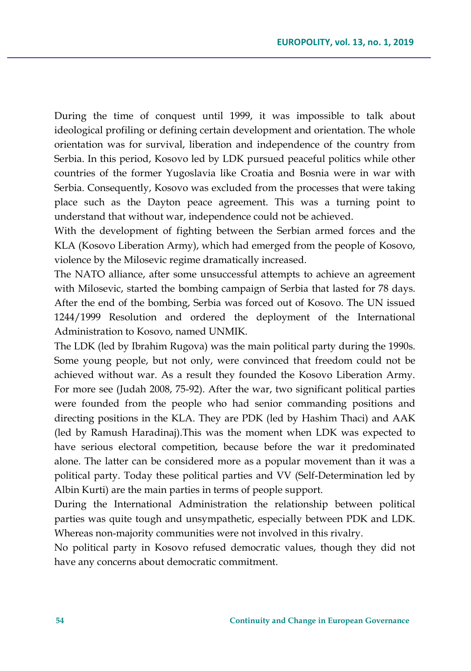During the time of conquest until 1999, it was impossible to talk about ideological profiling or defining certain development and orientation. The whole orientation was for survival, liberation and independence of the country from Serbia. In this period, Kosovo led by LDK pursued peaceful politics while other countries of the former Yugoslavia like Croatia and Bosnia were in war with Serbia. Consequently, Kosovo was excluded from the processes that were taking place such as the Dayton peace agreement. This was a turning point to understand that without war, independence could not be achieved.

With the development of fighting between the Serbian armed forces and the KLA (Kosovo Liberation Army), which had emerged from the people of Kosovo, violence by the Milosevic regime dramatically increased.

The NATO alliance, after some unsuccessful attempts to achieve an agreement with Milosevic, started the bombing campaign of Serbia that lasted for 78 days. After the end of the bombing, Serbia was forced out of Kosovo. The UN issued 1244/1999 Resolution and ordered the deployment of the International Administration to Kosovo, named UNMIK.

The LDK (led by Ibrahim Rugova) was the main political party during the 1990s. Some young people, but not only, were convinced that freedom could not be achieved without war. As a result they founded the Kosovo Liberation Army. For more see (Judah 2008, 75-92). After the war, two significant political parties were founded from the people who had senior commanding positions and directing positions in the KLA. They are PDK (led by Hashim Thaci) and AAK (led by Ramush Haradinaj).This was the moment when LDK was expected to have serious electoral competition, because before the war it predominated alone. The latter can be considered more as a popular movement than it was a political party. Today these political parties and VV (Self-Determination led by Albin Kurti) are the main parties in terms of people support.

During the International Administration the relationship between political parties was quite tough and unsympathetic, especially between PDK and LDK. Whereas non-majority communities were not involved in this rivalry.

No political party in Kosovo refused democratic values, though they did not have any concerns about democratic commitment.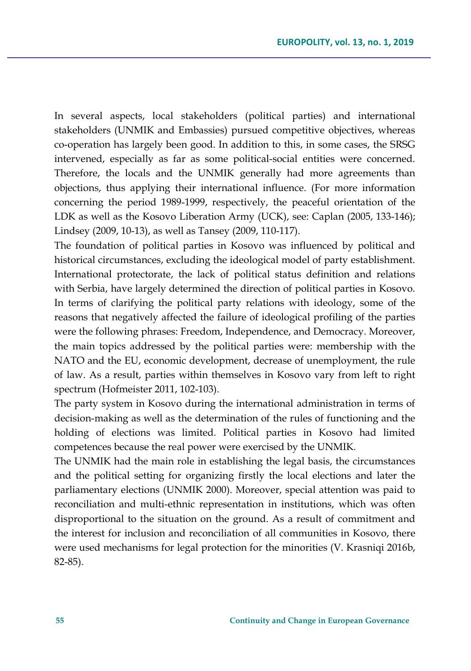In several aspects, local stakeholders (political parties) and international stakeholders (UNMIK and Embassies) pursued competitive objectives, whereas co-operation has largely been good. In addition to this, in some cases, the SRSG intervened, especially as far as some political-social entities were concerned. Therefore, the locals and the UNMIK generally had more agreements than objections, thus applying their international influence. (For more information concerning the period 1989-1999, respectively, the peaceful orientation of the LDK as well as the Kosovo Liberation Army (UCK), see: Caplan (2005, 133-146); Lindsey (2009, 10-13), as well as Tansey (2009, 110-117).

The foundation of political parties in Kosovo was influenced by political and historical circumstances, excluding the ideological model of party establishment. International protectorate, the lack of political status definition and relations with Serbia, have largely determined the direction of political parties in Kosovo. In terms of clarifying the political party relations with ideology, some of the reasons that negatively affected the failure of ideological profiling of the parties were the following phrases: Freedom, Independence, and Democracy. Moreover, the main topics addressed by the political parties were: membership with the NATO and the EU, economic development, decrease of unemployment, the rule of law. As a result, parties within themselves in Kosovo vary from left to right spectrum (Hofmeister 2011, 102-103).

The party system in Kosovo during the international administration in terms of decision-making as well as the determination of the rules of functioning and the holding of elections was limited. Political parties in Kosovo had limited competences because the real power were exercised by the UNMIK.

The UNMIK had the main role in establishing the legal basis, the circumstances and the political setting for organizing firstly the local elections and later the parliamentary elections (UNMIK 2000). Moreover, special attention was paid to reconciliation and multi-ethnic representation in institutions, which was often disproportional to the situation on the ground. As a result of commitment and the interest for inclusion and reconciliation of all communities in Kosovo, there were used mechanisms for legal protection for the minorities (V. Krasniqi 2016b, 82-85).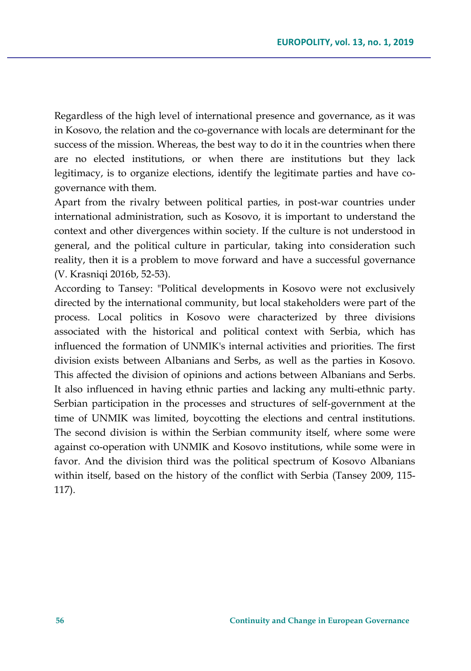Regardless of the high level of international presence and governance, as it was in Kosovo, the relation and the co-governance with locals are determinant for the success of the mission. Whereas, the best way to do it in the countries when there are no elected institutions, or when there are institutions but they lack legitimacy, is to organize elections, identify the legitimate parties and have cogovernance with them.

Apart from the rivalry between political parties, in post-war countries under international administration, such as Kosovo, it is important to understand the context and other divergences within society. If the culture is not understood in general, and the political culture in particular, taking into consideration such reality, then it is a problem to move forward and have a successful governance (V. Krasniqi 2016b, 52-53).

According to Tansey: "Political developments in Kosovo were not exclusively directed by the international community, but local stakeholders were part of the process. Local politics in Kosovo were characterized by three divisions associated with the historical and political context with Serbia, which has influenced the formation of UNMIK's internal activities and priorities. The first division exists between Albanians and Serbs, as well as the parties in Kosovo. This affected the division of opinions and actions between Albanians and Serbs. It also influenced in having ethnic parties and lacking any multi-ethnic party. Serbian participation in the processes and structures of self-government at the time of UNMIK was limited, boycotting the elections and central institutions. The second division is within the Serbian community itself, where some were against co-operation with UNMIK and Kosovo institutions, while some were in favor. And the division third was the political spectrum of Kosovo Albanians within itself, based on the history of the conflict with Serbia (Tansey 2009, 115- 117).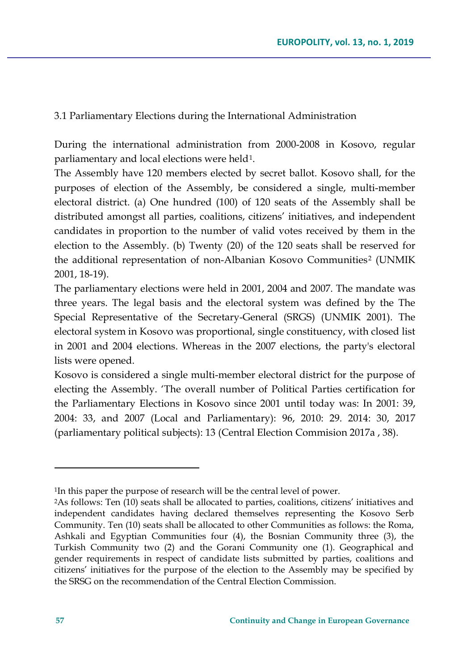3.1 Parliamentary Elections during the International Administration

During the international administration from 2000-2008 in Kosovo, regular parliamentary and local elections were held<sup>[1](#page-18-0)</sup>.

The Assembly have 120 members elected by secret ballot. Kosovo shall, for the purposes of election of the Assembly, be considered a single, multi-member electoral district. (a) One hundred (100) of 120 seats of the Assembly shall be distributed amongst all parties, coalitions, citizens' initiatives, and independent candidates in proportion to the number of valid votes received by them in the election to the Assembly. (b) Twenty (20) of the 120 seats shall be reserved for the additional representation of non-Albanian Kosovo Communities<sup>[2](#page-18-1)</sup> (UNMIK 2001, 18-19).

The parliamentary elections were held in 2001, 2004 and 2007. The mandate was three years. The legal basis and the electoral system was defined by the The Special Representative of the Secretary-General (SRGS) (UNMIK 2001). The electoral system in Kosovo was proportional, single constituency, with closed list in 2001 and 2004 elections. Whereas in the 2007 elections, the party's electoral lists were opened.

Kosovo is considered a single multi-member electoral district for the purpose of electing the Assembly. 'The overall number of Political Parties certification for the Parliamentary Elections in Kosovo since 2001 until today was: In 2001: 39, 2004: 33, and 2007 (Local and Parliamentary): 96, 2010: 29. 2014: 30, 2017 (parliamentary political subjects): 13 (Central Election Commision 2017a , 38).

 $\overline{\phantom{a}}$ 

<span id="page-18-0"></span><sup>1</sup>In this paper the purpose of research will be the central level of power.

<span id="page-18-1"></span><sup>2</sup>As follows: Ten (10) seats shall be allocated to parties, coalitions, citizens' initiatives and independent candidates having declared themselves representing the Kosovo Serb Community. Ten (10) seats shall be allocated to other Communities as follows: the Roma, Ashkali and Egyptian Communities four (4), the Bosnian Community three (3), the Turkish Community two (2) and the Gorani Community one (1). Geographical and gender requirements in respect of candidate lists submitted by parties, coalitions and citizens' initiatives for the purpose of the election to the Assembly may be specified by the SRSG on the recommendation of the Central Election Commission.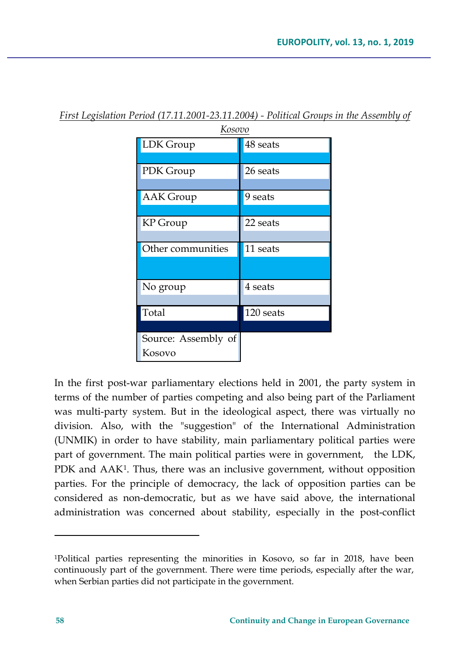| Kos <u>ovo</u>      |           |  |  |
|---------------------|-----------|--|--|
| LDK Group           | 48 seats  |  |  |
|                     |           |  |  |
| PDK Group           | 26 seats  |  |  |
|                     |           |  |  |
| <b>AAK Group</b>    | 9 seats   |  |  |
|                     |           |  |  |
| KP Group            | 22 seats  |  |  |
|                     |           |  |  |
| Other communities   | 11 seats  |  |  |
|                     |           |  |  |
| No group            | 4 seats   |  |  |
|                     |           |  |  |
| Total               | 120 seats |  |  |
|                     |           |  |  |
| Source: Assembly of |           |  |  |
| Kosovo              |           |  |  |

*First Legislation Period (17.11.2001-23.11.2004) - Political Groups in the Assembly of* 

In the first post-war parliamentary elections held in 2001, the party system in terms of the number of parties competing and also being part of the Parliament was multi-party system. But in the ideological aspect, there was virtually no division. Also, with the "suggestion" of the International Administration (UNMIK) in order to have stability, main parliamentary political parties were part of government. The main political parties were in government, the LDK, PDK and AAK<sup>[1](#page-19-0)</sup>. Thus, there was an inclusive government, without opposition parties. For the principle of democracy, the lack of opposition parties can be considered as non-democratic, but as we have said above, the international administration was concerned about stability, especially in the post-conflict

 $\overline{\phantom{a}}$ 

<span id="page-19-0"></span><sup>1</sup>Political parties representing the minorities in Kosovo, so far in 2018, have been continuously part of the government. There were time periods, especially after the war, when Serbian parties did not participate in the government.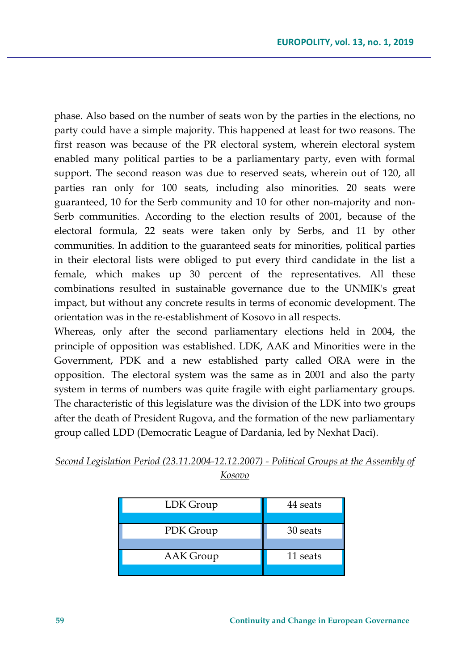phase. Also based on the number of seats won by the parties in the elections, no party could have a simple majority. This happened at least for two reasons. The first reason was because of the PR electoral system, wherein electoral system enabled many political parties to be a parliamentary party, even with formal support. The second reason was due to reserved seats, wherein out of 120, all parties ran only for 100 seats, including also minorities. 20 seats were guaranteed, 10 for the Serb community and 10 for other non-majority and non-Serb communities. According to the election results of 2001, because of the electoral formula, 22 seats were taken only by Serbs, and 11 by other communities. In addition to the guaranteed seats for minorities, political parties in their electoral lists were obliged to put every third candidate in the list a female, which makes up 30 percent of the representatives. All these combinations resulted in sustainable governance due to the UNMIK's great impact, but without any concrete results in terms of economic development. The orientation was in the re-establishment of Kosovo in all respects.

Whereas, only after the second parliamentary elections held in 2004, the principle of opposition was established. LDK, AAK and Minorities were in the Government, PDK and a new established party called ORA were in the opposition. The electoral system was the same as in 2001 and also the party system in terms of numbers was quite fragile with eight parliamentary groups. The characteristic of this legislature was the division of the LDK into two groups after the death of President Rugova, and the formation of the new parliamentary group called LDD (Democratic League of Dardania, led by Nexhat Daci).

| LDK Group | 44 seats |
|-----------|----------|
|           |          |
| PDK Group | 30 seats |
|           |          |
| AAK Group | 11 seats |
|           |          |

### *Second Legislation Period (23.11.2004-12.12.2007) - Political Groups at the Assembly of Kosovo*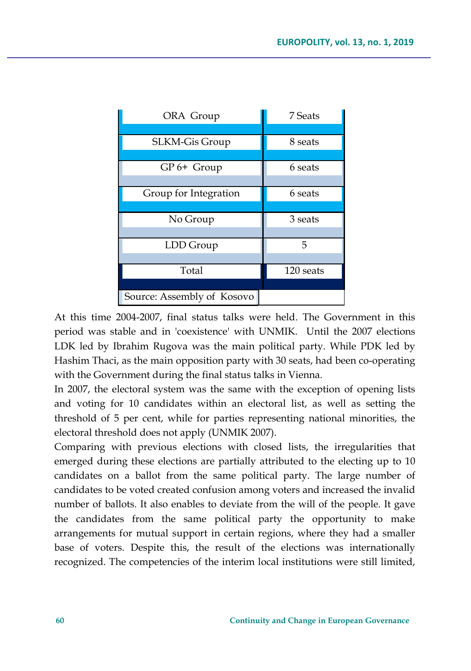| ORA Group                  | 7 Seats   |
|----------------------------|-----------|
|                            |           |
| SLKM-Gis Group             | 8 seats   |
|                            |           |
| GP 6+ Group                | 6 seats   |
|                            |           |
| Group for Integration      | 6 seats   |
|                            |           |
| No Group                   | 3 seats   |
|                            |           |
| LDD Group                  | 5         |
|                            |           |
| Total                      | 120 seats |
|                            |           |
| Source: Assembly of Kosovo |           |

At this time 2004-2007, final status talks were held. The Government in this period was stable and in 'coexistence' with UNMIK. Until the 2007 elections LDK led by Ibrahim Rugova was the main political party. While PDK led by Hashim Thaci, as the main opposition party with 30 seats, had been co-operating with the Government during the final status talks in Vienna.

In 2007, the electoral system was the same with the exception of opening lists and voting for 10 candidates within an electoral list, as well as setting the threshold of 5 per cent, while for parties representing national minorities, the electoral threshold does not apply (UNMIK 2007).

Comparing with previous elections with closed lists, the irregularities that emerged during these elections are partially attributed to the electing up to 10 candidates on a ballot from the same political party. The large number of candidates to be voted created confusion among voters and increased the invalid number of ballots. It also enables to deviate from the will of the people. It gave the candidates from the same political party the opportunity to make arrangements for mutual support in certain regions, where they had a smaller base of voters. Despite this, the result of the elections was internationally recognized. The competencies of the interim local institutions were still limited,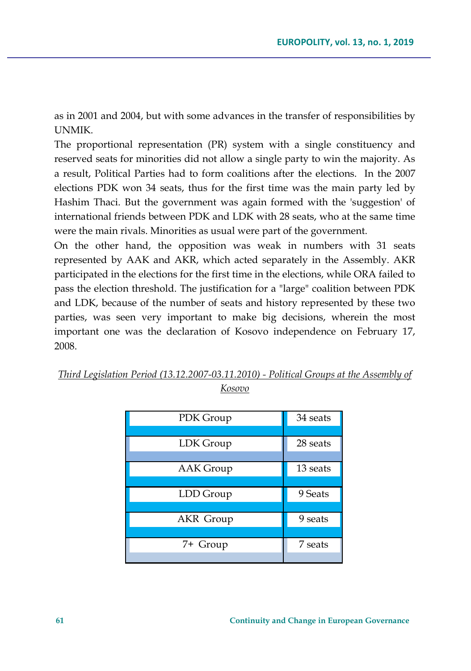as in 2001 and 2004, but with some advances in the transfer of responsibilities by UNMIK.

The proportional representation (PR) system with a single constituency and reserved seats for minorities did not allow a single party to win the majority. As a result, Political Parties had to form coalitions after the elections. In the 2007 elections PDK won 34 seats, thus for the first time was the main party led by Hashim Thaci. But the government was again formed with the 'suggestion' of international friends between PDK and LDK with 28 seats, who at the same time were the main rivals. Minorities as usual were part of the government.

On the other hand, the opposition was weak in numbers with 31 seats represented by AAK and AKR, which acted separately in the Assembly. AKR participated in the elections for the first time in the elections, while ORA failed to pass the election threshold. The justification for a "large" coalition between PDK and LDK, because of the number of seats and history represented by these two parties, was seen very important to make big decisions, wherein the most important one was the declaration of Kosovo independence on February 17, 2008.

|            | Third Legislation Period (13.12.2007-03.11.2010) - Political Groups at the Assembly of |
|------------|----------------------------------------------------------------------------------------|
|            |                                                                                        |
| $K$ osozio |                                                                                        |

| PDK Group        | 34 seats |
|------------------|----------|
|                  |          |
| LDK Group        | 28 seats |
|                  |          |
| <b>AAK</b> Group | 13 seats |
|                  |          |
| LDD Group        | 9 Seats  |
|                  |          |
| <b>AKR</b> Group | 9 seats  |
|                  |          |
| 7+ Group         | 7 seats  |
|                  |          |

*Kosovo*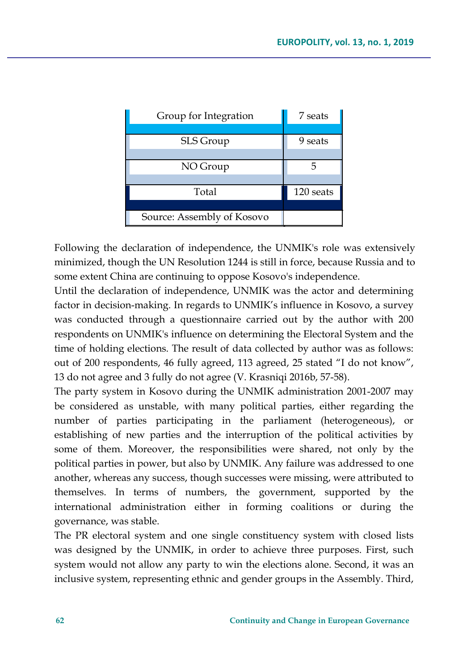| Group for Integration      | 7 seats   |
|----------------------------|-----------|
|                            |           |
| SLS Group                  | 9 seats   |
|                            |           |
| NO Group                   |           |
|                            |           |
| Total                      | 120 seats |
|                            |           |
| Source: Assembly of Kosovo |           |

Following the declaration of independence, the UNMIK's role was extensively minimized, though the UN Resolution 1244 is still in force, because Russia and to some extent China are continuing to oppose Kosovo's independence.

Until the declaration of independence, UNMIK was the actor and determining factor in decision-making. In regards to UNMIK's influence in Kosovo, a survey was conducted through a questionnaire carried out by the author with 200 respondents on UNMIK's influence on determining the Electoral System and the time of holding elections. The result of data collected by author was as follows: out of 200 respondents, 46 fully agreed, 113 agreed, 25 stated "I do not know", 13 do not agree and 3 fully do not agree (V. Krasniqi 2016b, 57-58).

The party system in Kosovo during the UNMIK administration 2001-2007 may be considered as unstable, with many political parties, either regarding the number of parties participating in the parliament (heterogeneous), or establishing of new parties and the interruption of the political activities by some of them. Moreover, the responsibilities were shared, not only by the political parties in power, but also by UNMIK. Any failure was addressed to one another, whereas any success, though successes were missing, were attributed to themselves. In terms of numbers, the government, supported by the international administration either in forming coalitions or during the governance, was stable.

The PR electoral system and one single constituency system with closed lists was designed by the UNMIK, in order to achieve three purposes. First, such system would not allow any party to win the elections alone. Second, it was an inclusive system, representing ethnic and gender groups in the Assembly. Third,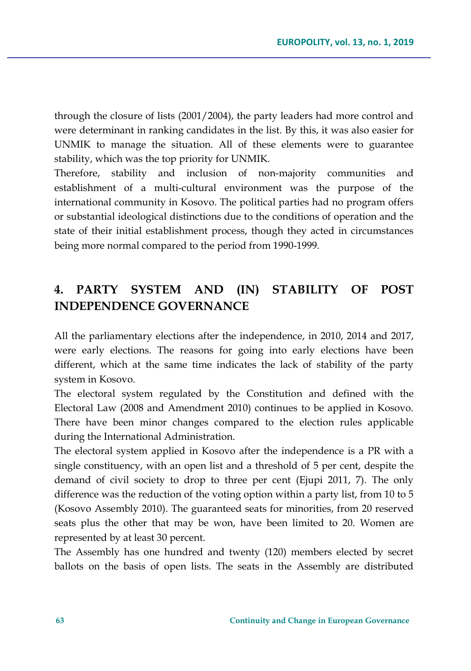through the closure of lists (2001/2004), the party leaders had more control and were determinant in ranking candidates in the list. By this, it was also easier for UNMIK to manage the situation. All of these elements were to guarantee stability, which was the top priority for UNMIK.

Therefore, stability and inclusion of non-majority communities and establishment of a multi-cultural environment was the purpose of the international community in Kosovo. The political parties had no program offers or substantial ideological distinctions due to the conditions of operation and the state of their initial establishment process, though they acted in circumstances being more normal compared to the period from 1990-1999.

# **4. PARTY SYSTEM AND (IN) STABILITY OF POST INDEPENDENCE GOVERNANCE**

All the parliamentary elections after the independence, in 2010, 2014 and 2017, were early elections. The reasons for going into early elections have been different, which at the same time indicates the lack of stability of the party system in Kosovo.

The electoral system regulated by the Constitution and defined with the Electoral Law (2008 and Amendment 2010) continues to be applied in Kosovo. There have been minor changes compared to the election rules applicable during the International Administration.

The electoral system applied in Kosovo after the independence is a PR with a single constituency, with an open list and a threshold of 5 per cent, despite the demand of civil society to drop to three per cent (Ejupi 2011, 7). The only difference was the reduction of the voting option within a party list, from 10 to 5 (Kosovo Assembly 2010). The guaranteed seats for minorities, from 20 reserved seats plus the other that may be won, have been limited to 20. Women are represented by at least 30 percent.

The Assembly has one hundred and twenty (120) members elected by secret ballots on the basis of open lists. The seats in the Assembly are distributed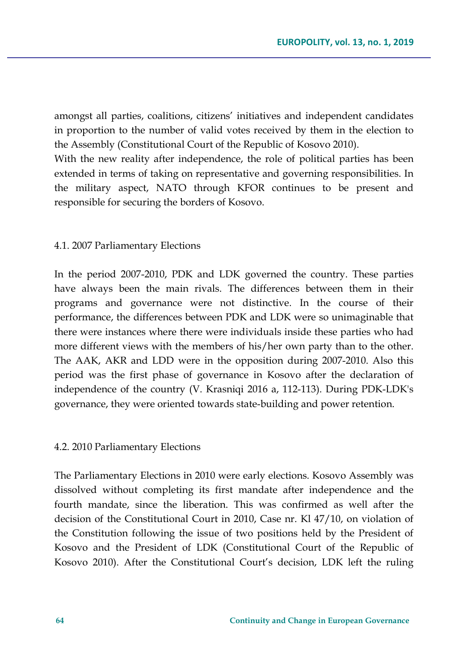amongst all parties, coalitions, citizens' initiatives and independent candidates in proportion to the number of valid votes received by them in the election to the Assembly (Constitutional Court of the Republic of Kosovo 2010).

With the new reality after independence, the role of political parties has been extended in terms of taking on representative and governing responsibilities. In the military aspect, NATO through KFOR continues to be present and responsible for securing the borders of Kosovo.

### 4.1. 2007 Parliamentary Elections

In the period 2007-2010, PDK and LDK governed the country. These parties have always been the main rivals. The differences between them in their programs and governance were not distinctive. In the course of their performance, the differences between PDK and LDK were so unimaginable that there were instances where there were individuals inside these parties who had more different views with the members of his/her own party than to the other. The AAK, AKR and LDD were in the opposition during 2007-2010. Also this period was the first phase of governance in Kosovo after the declaration of independence of the country (V. Krasniqi 2016 a, 112-113). During PDK-LDK's governance, they were oriented towards state-building and power retention.

### 4.2. 2010 Parliamentary Elections

The Parliamentary Elections in 2010 were early elections. Kosovo Assembly was dissolved without completing its first mandate after independence and the fourth mandate, since the liberation. This was confirmed as well after the decision of the Constitutional Court in 2010, Case nr. Kl 47/10, on violation of the Constitution following the issue of two positions held by the President of Kosovo and the President of LDK (Constitutional Court of the Republic of Kosovo 2010). After the Constitutional Court's decision, LDK left the ruling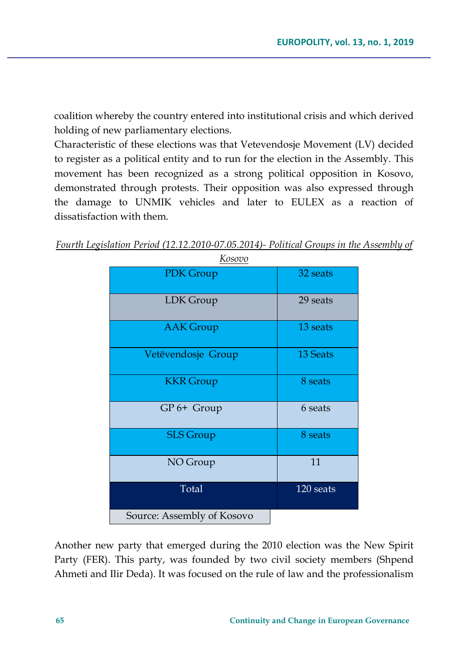coalition whereby the country entered into institutional crisis and which derived holding of new parliamentary elections.

Characteristic of these elections was that Vetevendosje Movement (LV) decided to register as a political entity and to run for the election in the Assembly. This movement has been recognized as a strong political opposition in Kosovo, demonstrated through protests. Their opposition was also expressed through the damage to UNMIK vehicles and later to EULEX as a reaction of dissatisfaction with them.

| <i>INUSUVU</i>             |                 |  |  |
|----------------------------|-----------------|--|--|
| PDK Group                  | 32 seats        |  |  |
| LDK Group                  | 29 seats        |  |  |
| <b>AAK</b> Group           | 13 seats        |  |  |
| Vetëvendosje Group         | <b>13 Seats</b> |  |  |
| <b>KKR</b> Group           | 8 seats         |  |  |
| GP 6+ Group                | 6 seats         |  |  |
| <b>SLS</b> Group           | 8 seats         |  |  |
| NO Group                   | 11              |  |  |
| Total                      | 120 seats       |  |  |
| Source: Assembly of Kosovo |                 |  |  |

*Fourth Legislation Period (12.12.2010-07.05.2014)- Political Groups in the Assembly of Kosovo*

Another new party that emerged during the 2010 election was the New Spirit Party (FER). This party, was founded by two civil society members (Shpend Ahmeti and Ilir Deda). It was focused on the rule of law and the professionalism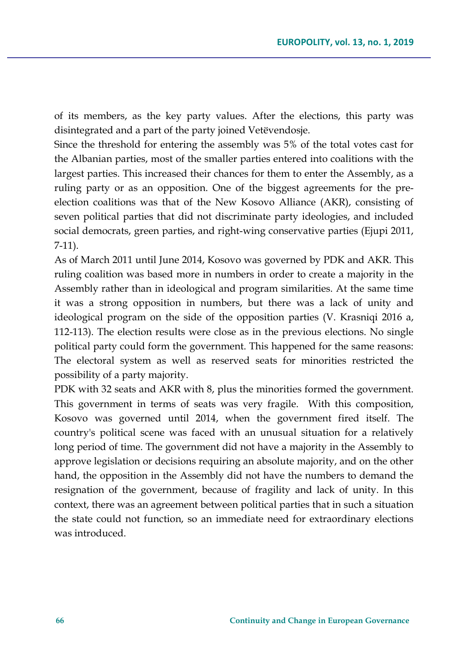of its members, as the key party values. After the elections, this party was disintegrated and a part of the party joined Vetëvendosje.

Since the threshold for entering the assembly was 5% of the total votes cast for the Albanian parties, most of the smaller parties entered into coalitions with the largest parties. This increased their chances for them to enter the Assembly, as a ruling party or as an opposition. One of the biggest agreements for the preelection coalitions was that of the New Kosovo Alliance (AKR), consisting of seven political parties that did not discriminate party ideologies, and included social democrats, green parties, and right-wing conservative parties (Ejupi 2011, 7-11).

As of March 2011 until June 2014, Kosovo was governed by PDK and AKR. This ruling coalition was based more in numbers in order to create a majority in the Assembly rather than in ideological and program similarities. At the same time it was a strong opposition in numbers, but there was a lack of unity and ideological program on the side of the opposition parties (V. Krasniqi 2016 a, 112-113). The election results were close as in the previous elections. No single political party could form the government. This happened for the same reasons: The electoral system as well as reserved seats for minorities restricted the possibility of a party majority.

PDK with 32 seats and AKR with 8, plus the minorities formed the government. This government in terms of seats was very fragile. With this composition, Kosovo was governed until 2014, when the government fired itself. The country's political scene was faced with an unusual situation for a relatively long period of time. The government did not have a majority in the Assembly to approve legislation or decisions requiring an absolute majority, and on the other hand, the opposition in the Assembly did not have the numbers to demand the resignation of the government, because of fragility and lack of unity. In this context, there was an agreement between political parties that in such a situation the state could not function, so an immediate need for extraordinary elections was introduced.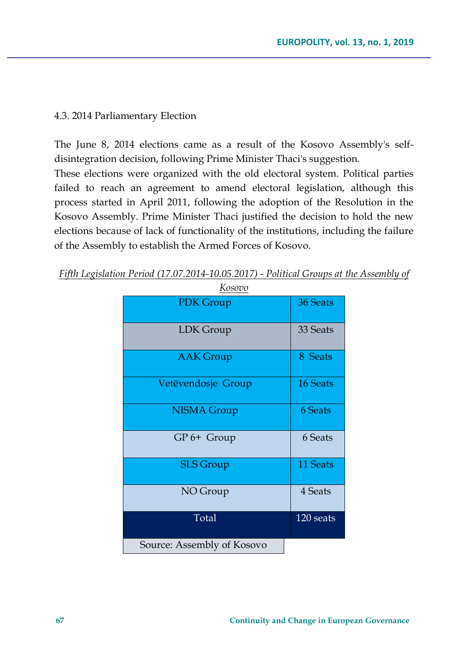### 4.3. 2014 Parliamentary Election

The June 8, 2014 elections came as a result of the Kosovo Assembly's selfdisintegration decision, following Prime Minister Thaci's suggestion. These elections were organized with the old electoral system. Political parties failed to reach an agreement to amend electoral legislation, although this process started in April 2011, following the adoption of the Resolution in the Kosovo Assembly. Prime Minister Thaci justified the decision to hold the new elections because of lack of functionality of the institutions, including the failure of the Assembly to establish the Armed Forces of Kosovo.

| <u>Kosovo</u>              |           |  |  |
|----------------------------|-----------|--|--|
| PDK Group                  | 36 Seats  |  |  |
| LDK Group                  | 33 Seats  |  |  |
| <b>AAK</b> Group           | 8 Seats   |  |  |
| Vetëvendosje Group         | 16 Seats  |  |  |
| <b>NISMA Group</b>         | 6 Seats   |  |  |
| $GP 6+ Group$              | 6 Seats   |  |  |
| <b>SLS</b> Group           | 11 Seats  |  |  |
| NO Group                   | 4 Seats   |  |  |
| Total                      | 120 seats |  |  |
| Source: Assembly of Kosovo |           |  |  |

*Fifth Legislation Period (17.07.2014-10.05.2017) - Political Groups at the Assembly of*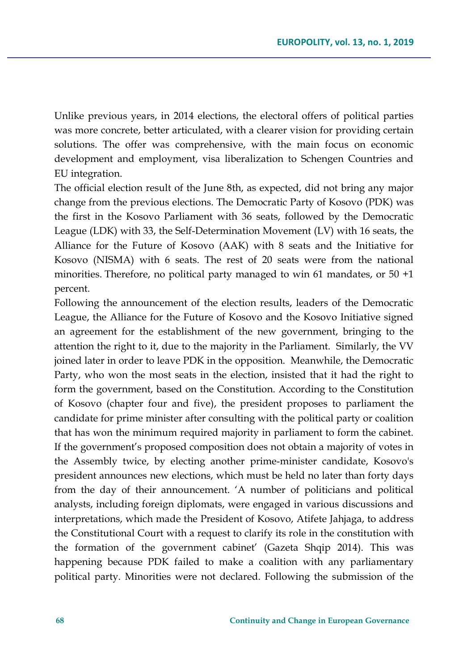Unlike previous years, in 2014 elections, the electoral offers of political parties was more concrete, better articulated, with a clearer vision for providing certain solutions. The offer was comprehensive, with the main focus on economic development and employment, visa liberalization to Schengen Countries and EU integration.

The official election result of the June 8th, as expected, did not bring any major change from the previous elections. The Democratic Party of Kosovo (PDK) was the first in the Kosovo Parliament with 36 seats, followed by the Democratic League (LDK) with 33, the Self-Determination Movement (LV) with 16 seats, the Alliance for the Future of Kosovo (AAK) with 8 seats and the Initiative for Kosovo (NISMA) with 6 seats. The rest of 20 seats were from the national minorities. Therefore, no political party managed to win 61 mandates, or 50 +1 percent.

Following the announcement of the election results, leaders of the Democratic League, the Alliance for the Future of Kosovo and the Kosovo Initiative signed an agreement for the establishment of the new government, bringing to the attention the right to it, due to the majority in the Parliament. Similarly, the VV joined later in order to leave PDK in the opposition. Meanwhile, the Democratic Party, who won the most seats in the election, insisted that it had the right to form the government, based on the Constitution. According to the Constitution of Kosovo (chapter four and five), the president proposes to parliament the candidate for prime minister after consulting with the political party or coalition that has won the minimum required majority in parliament to form the cabinet. If the government's proposed composition does not obtain a majority of votes in the Assembly twice, by electing another prime-minister candidate, Kosovo's president announces new elections, which must be held no later than forty days from the day of their announcement. 'A number of politicians and political analysts, including foreign diplomats, were engaged in various discussions and interpretations, which made the President of Kosovo, Atifete Jahjaga, to address the Constitutional Court with a request to clarify its role in the constitution with the formation of the government cabinet' (Gazeta Shqip 2014). This was happening because PDK failed to make a coalition with any parliamentary political party. Minorities were not declared. Following the submission of the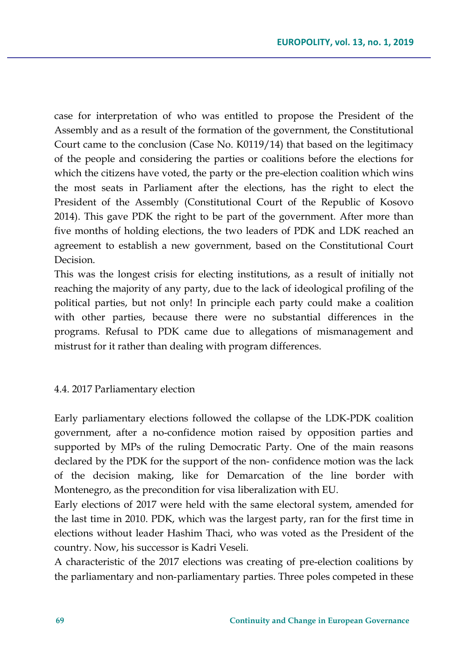case for interpretation of who was entitled to propose the President of the Assembly and as a result of the formation of the government, the Constitutional Court came to the conclusion (Case No. K0119/14) that based on the legitimacy of the people and considering the parties or coalitions before the elections for which the citizens have voted, the party or the pre-election coalition which wins the most seats in Parliament after the elections, has the right to elect the President of the Assembly (Constitutional Court of the Republic of Kosovo 2014). This gave PDK the right to be part of the government. After more than five months of holding elections, the two leaders of PDK and LDK reached an agreement to establish a new government, based on the Constitutional Court Decision.

This was the longest crisis for electing institutions, as a result of initially not reaching the majority of any party, due to the lack of ideological profiling of the political parties, but not only! In principle each party could make a coalition with other parties, because there were no substantial differences in the programs. Refusal to PDK came due to allegations of mismanagement and mistrust for it rather than dealing with program differences.

#### 4.4. 2017 Parliamentary election

Early parliamentary elections followed the collapse of the LDK-PDK coalition government, after a no-confidence motion raised by opposition parties and supported by MPs of the ruling Democratic Party. One of the main reasons declared by the PDK for the support of the non- confidence motion was the lack of the decision making, like for Demarcation of the line border with Montenegro, as the precondition for visa liberalization with EU.

Early elections of 2017 were held with the same electoral system, amended for the last time in 2010. PDK, which was the largest party, ran for the first time in elections without leader Hashim Thaci, who was voted as the President of the country. Now, his successor is Kadri Veseli.

A characteristic of the 2017 elections was creating of pre-election coalitions by the parliamentary and non-parliamentary parties. Three poles competed in these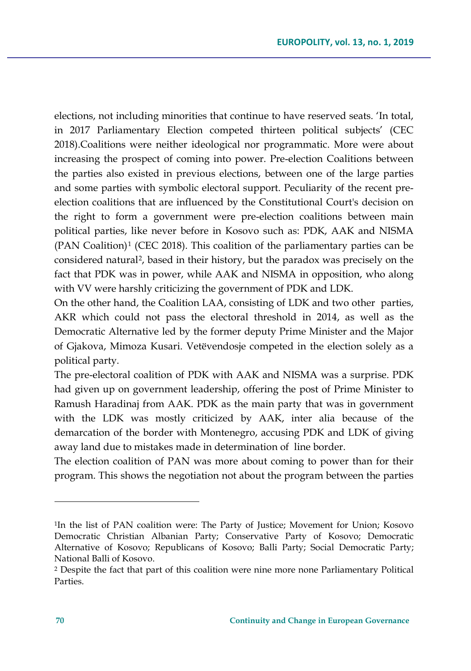elections, not including minorities that continue to have reserved seats. 'In total, in 2017 Parliamentary Election competed thirteen political subjects' (CEC 2018).Coalitions were neither ideological nor programmatic. More were about increasing the prospect of coming into power. Pre-election Coalitions between the parties also existed in previous elections, between one of the large parties and some parties with symbolic electoral support. Peculiarity of the recent preelection coalitions that are influenced by the Constitutional Court's decision on the right to form a government were pre-election coalitions between main political parties, like never before in Kosovo such as: PDK, AAK and NISMA  $(PAN$  Coalition)<sup>[1](#page-31-0)</sup> (CEC 2018). This coalition of the parliamentary parties can be considered natural[2](#page-31-1), based in their history, but the paradox was precisely on the fact that PDK was in power, while AAK and NISMA in opposition, who along with VV were harshly criticizing the government of PDK and LDK.

On the other hand, the Coalition LAA, consisting of LDK and two other parties, AKR which could not pass the electoral threshold in 2014, as well as the Democratic Alternative led by the former deputy Prime Minister and the Major of Gjakova, Mimoza Kusari. Vetëvendosje competed in the election solely as a political party.

The pre-electoral coalition of PDK with AAK and NISMA was a surprise. PDK had given up on government leadership, offering the post of Prime Minister to Ramush Haradinaj from AAK. PDK as the main party that was in government with the LDK was mostly criticized by AAK, inter alia because of the demarcation of the border with Montenegro, accusing PDK and LDK of giving away land due to mistakes made in determination of line border.

The election coalition of PAN was more about coming to power than for their program. This shows the negotiation not about the program between the parties

l

<span id="page-31-0"></span><sup>1</sup>In the list of PAN coalition were: The Party of Justice; Movement for Union; Kosovo Democratic Christian Albanian Party; Conservative Party of Kosovo; Democratic Alternative of Kosovo; Republicans of Kosovo; Balli Party; Social Democratic Party; National Balli of Kosovo.

<span id="page-31-1"></span><sup>2</sup> Despite the fact that part of this coalition were nine more none Parliamentary Political Parties.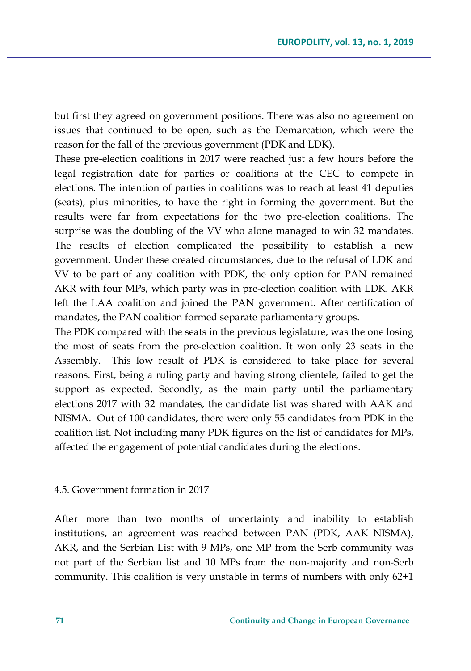but first they agreed on government positions. There was also no agreement on issues that continued to be open, such as the Demarcation, which were the reason for the fall of the previous government (PDK and LDK).

These pre-election coalitions in 2017 were reached just a few hours before the legal registration date for parties or coalitions at the CEC to compete in elections. The intention of parties in coalitions was to reach at least 41 deputies (seats), plus minorities, to have the right in forming the government. But the results were far from expectations for the two pre-election coalitions. The surprise was the doubling of the VV who alone managed to win 32 mandates. The results of election complicated the possibility to establish a new government. Under these created circumstances, due to the refusal of LDK and VV to be part of any coalition with PDK, the only option for PAN remained AKR with four MPs, which party was in pre-election coalition with LDK. AKR left the LAA coalition and joined the PAN government. After certification of mandates, the PAN coalition formed separate parliamentary groups.

The PDK compared with the seats in the previous legislature, was the one losing the most of seats from the pre-election coalition. It won only 23 seats in the Assembly. This low result of PDK is considered to take place for several reasons. First, being a ruling party and having strong clientele, failed to get the support as expected. Secondly, as the main party until the parliamentary elections 2017 with 32 mandates, the candidate list was shared with AAK and NISMA. Out of 100 candidates, there were only 55 candidates from PDK in the coalition list. Not including many PDK figures on the list of candidates for MPs, affected the engagement of potential candidates during the elections.

### 4.5. Government formation in 2017

After more than two months of uncertainty and inability to establish institutions, an agreement was reached between PAN (PDK, AAK NISMA), AKR, and the Serbian List with 9 MPs, one MP from the Serb community was not part of the Serbian list and 10 MPs from the non-majority and non-Serb community. This coalition is very unstable in terms of numbers with only 62+1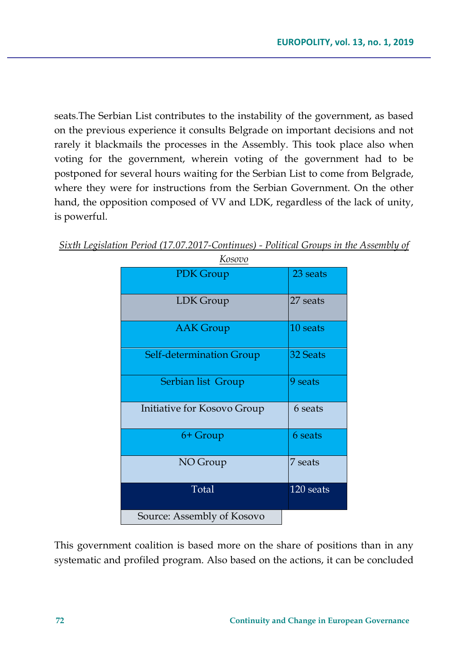seats.The Serbian List contributes to the instability of the government, as based on the previous experience it consults Belgrade on important decisions and not rarely it blackmails the processes in the Assembly. This took place also when voting for the government, wherein voting of the government had to be postponed for several hours waiting for the Serbian List to come from Belgrade, where they were for instructions from the Serbian Government. On the other hand, the opposition composed of VV and LDK, regardless of the lack of unity, is powerful.

| <u>Kosovo</u>               |           |  |  |  |
|-----------------------------|-----------|--|--|--|
| <b>PDK</b> Group            | 23 seats  |  |  |  |
| LDK Group                   | 27 seats  |  |  |  |
| <b>AAK</b> Group            | 10 seats  |  |  |  |
| Self-determination Group    | 32 Seats  |  |  |  |
| Serbian list Group          | 9 seats   |  |  |  |
| Initiative for Kosovo Group | 6 seats   |  |  |  |
| 6+ Group                    | 6 seats   |  |  |  |
| NO Group                    | 7 seats   |  |  |  |
| Total                       | 120 seats |  |  |  |
| Source: Assembly of Kosovo  |           |  |  |  |

*Sixth Legislation Period (17.07.2017-Continues) - Political Groups in the Assembly of* 

This government coalition is based more on the share of positions than in any systematic and profiled program. Also based on the actions, it can be concluded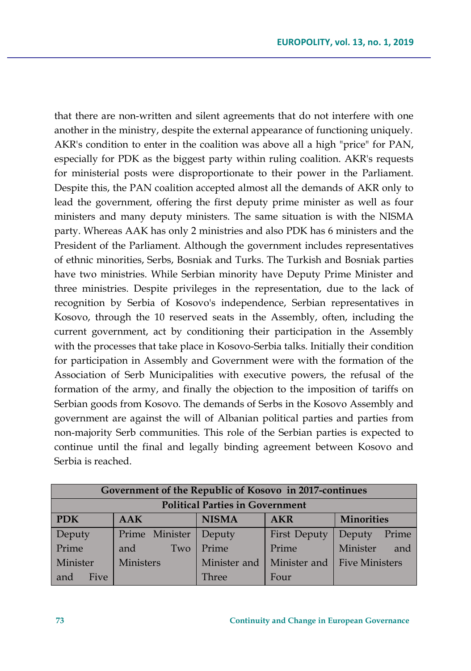that there are non-written and silent agreements that do not interfere with one another in the ministry, despite the external appearance of functioning uniquely. AKR's condition to enter in the coalition was above all a high "price" for PAN, especially for PDK as the biggest party within ruling coalition. AKR's requests for ministerial posts were disproportionate to their power in the Parliament. Despite this, the PAN coalition accepted almost all the demands of AKR only to lead the government, offering the first deputy prime minister as well as four ministers and many deputy ministers. The same situation is with the NISMA party. Whereas AAK has only 2 ministries and also PDK has 6 ministers and the President of the Parliament. Although the government includes representatives of ethnic minorities, Serbs, Bosniak and Turks. The Turkish and Bosniak parties have two ministries. While Serbian minority have Deputy Prime Minister and three ministries. Despite privileges in the representation, due to the lack of recognition by Serbia of Kosovo's independence, Serbian representatives in Kosovo, through the 10 reserved seats in the Assembly, often, including the current government, act by conditioning their participation in the Assembly with the processes that take place in Kosovo-Serbia talks. Initially their condition for participation in Assembly and Government were with the formation of the Association of Serb Municipalities with executive powers, the refusal of the formation of the army, and finally the objection to the imposition of tariffs on Serbian goods from Kosovo. The demands of Serbs in the Kosovo Assembly and government are against the will of Albanian political parties and parties from non-majority Serb communities. This role of the Serbian parties is expected to continue until the final and legally binding agreement between Kosovo and Serbia is reached.

| Government of the Republic of Kosovo in 2017-continues |                  |              |                     |                             |
|--------------------------------------------------------|------------------|--------------|---------------------|-----------------------------|
| <b>Political Parties in Government</b>                 |                  |              |                     |                             |
| <b>PDK</b>                                             | AAK              | <b>NISMA</b> | <b>AKR</b>          | <b>Minorities</b>           |
| Deputy                                                 | Prime Minister   | Deputy       | <b>First Deputy</b> | Prime<br>Deputy             |
| Prime                                                  | Two<br>and       | Prime        | Prime               | Minister<br>and             |
| Minister                                               | <b>Ministers</b> | Minister and |                     | Minister and Five Ministers |
| Five<br>and                                            |                  | Three        | Four                |                             |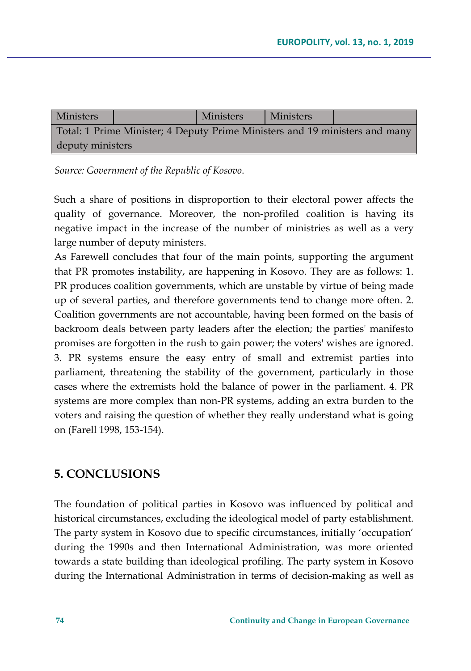| Ministers                                                                   |  | <b>Ministers</b> | <b>Ministers</b> |  |
|-----------------------------------------------------------------------------|--|------------------|------------------|--|
| Total: 1 Prime Minister; 4 Deputy Prime Ministers and 19 ministers and many |  |                  |                  |  |
| deputy ministers                                                            |  |                  |                  |  |

*Source: Government of the Republic of Kosovo*.

Such a share of positions in disproportion to their electoral power affects the quality of governance. Moreover, the non-profiled coalition is having its negative impact in the increase of the number of ministries as well as a very large number of deputy ministers.

As Farewell concludes that four of the main points, supporting the argument that PR promotes instability, are happening in Kosovo. They are as follows: 1. PR produces coalition governments, which are unstable by virtue of being made up of several parties, and therefore governments tend to change more often. 2. Coalition governments are not accountable, having been formed on the basis of backroom deals between party leaders after the election; the parties' manifesto promises are forgotten in the rush to gain power; the voters' wishes are ignored. 3. PR systems ensure the easy entry of small and extremist parties into parliament, threatening the stability of the government, particularly in those cases where the extremists hold the balance of power in the parliament. 4. PR systems are more complex than non-PR systems, adding an extra burden to the voters and raising the question of whether they really understand what is going on (Farell 1998, 153-154).

## **5. CONCLUSIONS**

The foundation of political parties in Kosovo was influenced by political and historical circumstances, excluding the ideological model of party establishment. The party system in Kosovo due to specific circumstances, initially 'occupation' during the 1990s and then International Administration, was more oriented towards a state building than ideological profiling. The party system in Kosovo during the International Administration in terms of decision-making as well as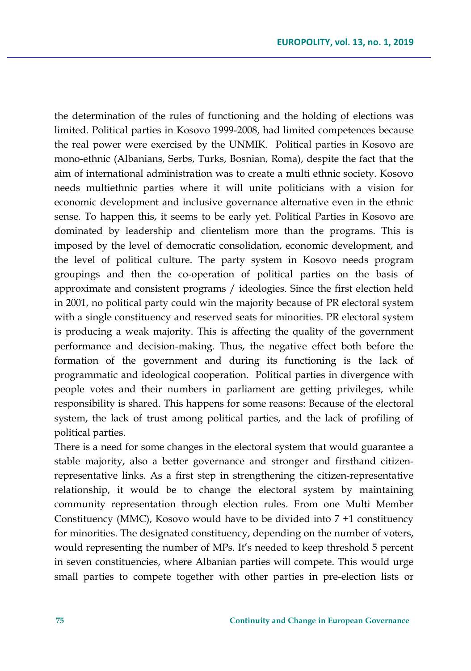the determination of the rules of functioning and the holding of elections was limited. Political parties in Kosovo 1999-2008, had limited competences because the real power were exercised by the UNMIK. Political parties in Kosovo are mono-ethnic (Albanians, Serbs, Turks, Bosnian, Roma), despite the fact that the aim of international administration was to create a multi ethnic society. Kosovo needs multiethnic parties where it will unite politicians with a vision for economic development and inclusive governance alternative even in the ethnic sense. To happen this, it seems to be early yet. Political Parties in Kosovo are dominated by leadership and clientelism more than the programs. This is imposed by the level of democratic consolidation, economic development, and the level of political culture. The party system in Kosovo needs program groupings and then the co-operation of political parties on the basis of approximate and consistent programs / ideologies. Since the first election held in 2001, no political party could win the majority because of PR electoral system with a single constituency and reserved seats for minorities. PR electoral system is producing a weak majority. This is affecting the quality of the government performance and decision-making. Thus, the negative effect both before the formation of the government and during its functioning is the lack of programmatic and ideological cooperation. Political parties in divergence with people votes and their numbers in parliament are getting privileges, while responsibility is shared. This happens for some reasons: Because of the electoral system, the lack of trust among political parties, and the lack of profiling of political parties.

There is a need for some changes in the electoral system that would guarantee a stable majority, also a better governance and stronger and firsthand citizenrepresentative links. As a first step in strengthening the citizen-representative relationship, it would be to change the electoral system by maintaining community representation through election rules. From one Multi Member Constituency (MMC), Kosovo would have to be divided into 7 +1 constituency for minorities. The designated constituency, depending on the number of voters, would representing the number of MPs. It's needed to keep threshold 5 percent in seven constituencies, where Albanian parties will compete. This would urge small parties to compete together with other parties in pre-election lists or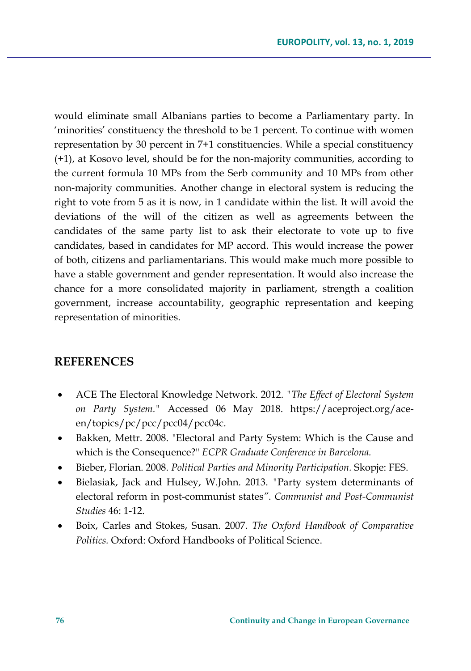would eliminate small Albanians parties to become a Parliamentary party. In 'minorities' constituency the threshold to be 1 percent. To continue with women representation by 30 percent in 7+1 constituencies. While a special constituency (+1), at Kosovo level, should be for the non-majority communities, according to the current formula 10 MPs from the Serb community and 10 MPs from other non-majority communities. Another change in electoral system is reducing the right to vote from 5 as it is now, in 1 candidate within the list. It will avoid the deviations of the will of the citizen as well as agreements between the candidates of the same party list to ask their electorate to vote up to five candidates, based in candidates for MP accord. This would increase the power of both, citizens and parliamentarians. This would make much more possible to have a stable government and gender representation. It would also increase the chance for a more consolidated majority in parliament, strength a coalition government, increase accountability, geographic representation and keeping representation of minorities.

### **REFERENCES**

- ACE The Electoral Knowledge Network. 2012. *"The Effect of Electoral System on Party System."* Accessed 06 May 2018. https://aceproject.org/aceen/topics/pc/pcc/pcc04/pcc04c.
- Bakken, Mettr. 2008. "Electoral and Party System: Which is the Cause and which is the Consequence?" *ECPR Graduate Conference in Barcelona.*
- Bieber, Florian. 2008. *Political Parties and Minority Participation.* Skopje: FES.
- Bielasiak, Jack and Hulsey, W.John. 2013. *"*Party system determinants of electoral reform in post-communist states*"*. *Communist and Post-Communist Studies* 46: 1-12.
- Boix, Carles and Stokes, Susan. 2007. *The Oxford Handbook of Comparative Politics.* Oxford: Oxford Handbooks of Political Science.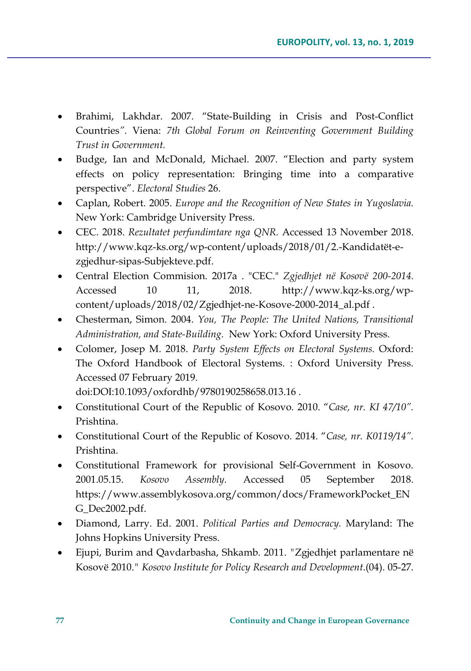- Brahimi, Lakhdar. 2007. "State-Building in Crisis and Post-Conflict Countries*".* Viena: *7th Global Forum on Reinventing Government Building Trust in Government.*
- Budge, Ian and McDonald, Michael. 2007. "Election and party system effects on policy representation: Bringing time into a comparative perspective". *Electoral Studies* 26.
- Caplan, Robert. 2005. *Europe and the Recognition of New States in Yugoslavia.* New York: Cambridge University Press.
- CEC. 2018. *Rezultatet perfundimtare nga QNR.* Accessed 13 November 2018. http://www.kqz-ks.org/wp-content/uploads/2018/01/2.-Kandidatët-ezgjedhur-sipas-Subjekteve.pdf.
- Central Election Commision. 2017a . "CEC." *Zgjedhjet në Kosovë 200-2014.* Accessed 10 11, 2018. http://www.kqz-ks.org/wpcontent/uploads/2018/02/Zgjedhjet-ne-Kosove-2000-2014\_al.pdf .
- Chesterman, Simon. 2004. *You, The People: The United Nations, Transitional Administration, and State-Building.* New York: Oxford University Press.
- Colomer, Josep M. 2018. *Party System Effects on Electoral Systems.* Oxford: The Oxford Handbook of Electoral Systems. : Oxford University Press. Accessed 07 February 2019.

doi:DOI:10.1093/oxfordhb/9780190258658.013.16 .

- Constitutional Court of the Republic of Kosovo. 2010. "*Case, nr. KI 47/10".* Prishtina.
- Constitutional Court of the Republic of Kosovo. 2014. "*Case, nr. K0119/14".* Prishtina.
- Constitutional Framework for provisional Self-Government in Kosovo. 2001.05.15. *Kosovo Assembly.* Accessed 05 September 2018. https://www.assemblykosova.org/common/docs/FrameworkPocket\_EN G\_Dec2002.pdf.
- Diamond, Larry. Ed. 2001. *Political Parties and Democracy.* Maryland: The Johns Hopkins University Press.
- Ejupi, Burim and Qavdarbasha, Shkamb. 2011. *"*Zgjedhjet parlamentare në Kosovë 2010.*" Kosovo Institute for Policy Research and Development*.(04). 05-27.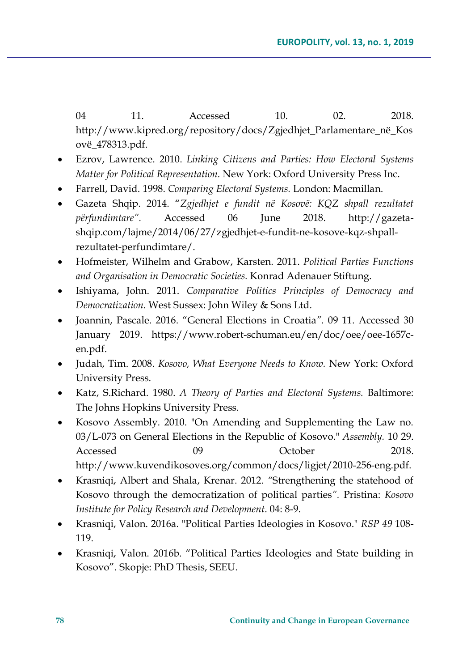04 11. Accessed 10. 02. 2018. http://www.kipred.org/repository/docs/Zgjedhjet\_Parlamentare\_në\_Kos ovë\_478313.pdf.

- Ezrov, Lawrence. 2010. *Linking Citizens and Parties: How Electoral Systems Matter for Political Representation.* New York: Oxford University Press Inc.
- Farrell, David. 1998. *Comparing Electoral Systems.* London: Macmillan.
- Gazeta Shqip. 2014. "*Zgjedhjet e fundit në Kosovë: KQZ shpall rezultatet përfundimtare".* Accessed 06 June 2018. http://gazetashqip.com/lajme/2014/06/27/zgjedhjet-e-fundit-ne-kosove-kqz-shpallrezultatet-perfundimtare/.
- Hofmeister, Wilhelm and Grabow, Karsten. 2011. *Political Parties Functions and Organisation in Democratic Societies.* Konrad Adenauer Stiftung.
- Ishiyama, John. 2011. *Comparative Politics Principles of Democracy and Democratization.* West Sussex: John Wiley & Sons Ltd.
- Joannin, Pascale. 2016. "General Elections in Croatia*".* 09 11. Accessed 30 January 2019. https://www.robert-schuman.eu/en/doc/oee/oee-1657cen.pdf.
- Judah, Tim. 2008. *Kosovo, What Everyone Needs to Know.* New York: Oxford University Press.
- Katz, S.Richard. 1980. *A Theory of Parties and Electoral Systems.* Baltimore: The Johns Hopkins University Press.
- Kosovo Assembly. 2010. "On Amending and Supplementing the Law no. 03/L-073 on General Elections in the Republic of Kosovo." *Assembly.* 10 29. Accessed 09 October 2018. http://www.kuvendikosoves.org/common/docs/ligjet/2010-256-eng.pdf.
- Krasniqi, Albert and Shala, Krenar. 2012. *"*Strengthening the statehood of Kosovo through the democratization of political parties*".* Pristina: *Kosovo Institute for Policy Research and Development*. 04: 8-9.
- Krasniqi, Valon. 2016a*.* "Political Parties Ideologies in Kosovo." *RSP 49* 108- 119.
- Krasniqi, Valon. 2016b. "Political Parties Ideologies and State building in Kosovo". Skopje: PhD Thesis, SEEU.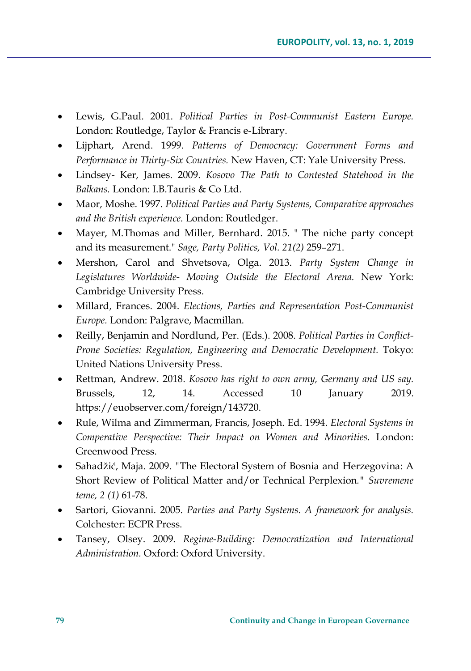- Lewis, G.Paul. 2001. *Political Parties in Post-Communist Eastern Europe.* London: Routledge, Taylor & Francis e-Library.
- Lijphart, Arend. 1999. *Patterns of Democracy: Government Forms and Performance in Thirty-Six Countries.* New Haven, CT: Yale University Press.
- Lindsey- Ker, James. 2009. *Kosovo The Path to Contested Statehood in the Balkans.* London: I.B.Tauris & Co Ltd.
- Maor, Moshe. 1997. *Political Parties and Party Systems, Comparative approaches and the British experience.* London: Routledger.
- Mayer, M.Thomas and Miller, Bernhard. 2015. " The niche party concept and its measurement." *Sage, Party Politics, Vol. 21(2)* 259–271.
- Mershon, Carol and Shvetsova, Olga. 2013. *Party System Change in Legislatures Worldwide- Moving Outside the Electoral Arena.* New York: Cambridge University Press.
- Millard, Frances. 2004. *Elections, Parties and Representation Post-Communist Europe.* London: Palgrave, Macmillan.
- Reilly, Benjamin and Nordlund, Per. (Eds.). 2008. *Political Parties in Conflict-Prone Societies: Regulation, Engineering and Democratic Development.* Tokyo: United Nations University Press.
- Rettman, Andrew. 2018. *Kosovo has right to own army, Germany and US say.* Brussels, 12, 14. Accessed 10 January 2019. https://euobserver.com/foreign/143720.
- Rule, Wilma and Zimmerman, Francis, Joseph. Ed. 1994. *Electoral Systems in Comperative Perspective: Their Impact on Women and Minorities.* London: Greenwood Press.
- Sahadžić, Maja. 2009. *"*The Electoral System of Bosnia and Herzegovina: A Short Review of Political Matter and/or Technical Perplexion*." Suvremene teme, 2 (1)* 61-78.
- Sartori, Giovanni. 2005. *Parties and Party Systems. A framework for analysis.* Colchester: ECPR Press.
- Tansey, Olsey. 2009. *Regime-Building: Democratization and International Administration.* Oxford: Oxford University.